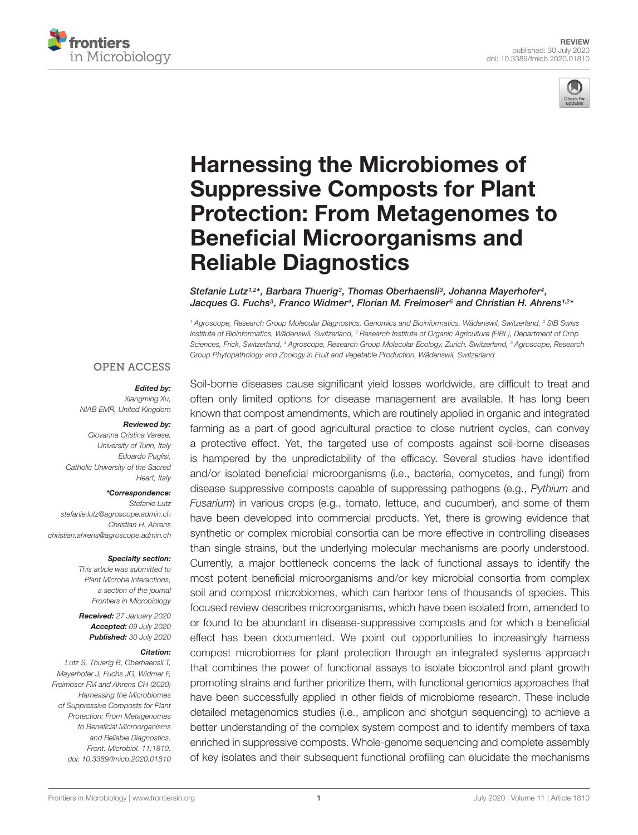



# Harnessing the Microbiomes of Suppressive Composts for Plant [Protection: From Metagenomes to](https://www.frontiersin.org/articles/10.3389/fmicb.2020.01810/full) Beneficial Microorganisms and Reliable Diagnostics

[Stefanie Lutz](http://loop.frontiersin.org/people/209921/overview)1,2\*, [Barbara Thuerig](http://loop.frontiersin.org/people/958017/overview)3, [Thomas Oberhaensli](http://loop.frontiersin.org/people/361402/overview)3, [Johanna Mayerhofer](http://loop.frontiersin.org/people/954851/overview)4, Jacques G. Fuchs<sup>3</sup>, [Franco Widmer](http://loop.frontiersin.org/people/307117/overview)<sup>4</sup>, [Florian M. Freimoser](http://loop.frontiersin.org/people/268405/overview)<sup>s</sup> and [Christian H. Ahrens](http://loop.frontiersin.org/people/269195/overview)1.2\*

<sup>1</sup> Agroscope, Research Group Molecular Diagnostics, Genomics and Bioinformatics, Wädenswil, Switzerland, <sup>2</sup> SIB Swiss Institute of Bioinformatics, Wädenswil, Switzerland, <sup>3</sup> Research Institute of Organic Agriculture (FiBL), Department of Crop Sciences, Frick, Switzerland, <sup>4</sup> Agroscope, Research Group Molecular Ecology, Zurich, Switzerland, <sup>5</sup> Agroscope, Research Group Phytopathology and Zoology in Fruit and Vegetable Production, Wädenswil, Switzerland

#### **OPEN ACCESS**

#### Edited by:

Xiangming Xu, NIAB EMR, United Kingdom

#### Reviewed by:

Giovanna Cristina Varese, University of Turin, Italy Edoardo Puglisi, Catholic University of the Sacred Heart, Italy

#### \*Correspondence:

Stefanie Lutz stefanie.lutz@agroscope.admin.ch Christian H. Ahrens christian.ahrens@agroscope.admin.ch

#### Specialty section:

This article was submitted to Plant Microbe Interactions, a section of the journal Frontiers in Microbiology

Received: 27 January 2020 Accepted: 09 July 2020 Published: 30 July 2020

#### Citation:

Lutz S, Thuerig B, Oberhaensli T, Mayerhofer J, Fuchs JG, Widmer F, Freimoser FM and Ahrens CH (2020) Harnessing the Microbiomes of Suppressive Composts for Plant Protection: From Metagenomes to Beneficial Microorganisms and Reliable Diagnostics. Front. Microbiol. 11:1810. doi: [10.3389/fmicb.2020.01810](https://doi.org/10.3389/fmicb.2020.01810) Soil-borne diseases cause significant yield losses worldwide, are difficult to treat and often only limited options for disease management are available. It has long been known that compost amendments, which are routinely applied in organic and integrated farming as a part of good agricultural practice to close nutrient cycles, can convey a protective effect. Yet, the targeted use of composts against soil-borne diseases is hampered by the unpredictability of the efficacy. Several studies have identified and/or isolated beneficial microorganisms (i.e., bacteria, oomycetes, and fungi) from disease suppressive composts capable of suppressing pathogens (e.g., Pythium and Fusarium) in various crops (e.g., tomato, lettuce, and cucumber), and some of them have been developed into commercial products. Yet, there is growing evidence that synthetic or complex microbial consortia can be more effective in controlling diseases than single strains, but the underlying molecular mechanisms are poorly understood. Currently, a major bottleneck concerns the lack of functional assays to identify the most potent beneficial microorganisms and/or key microbial consortia from complex soil and compost microbiomes, which can harbor tens of thousands of species. This focused review describes microorganisms, which have been isolated from, amended to or found to be abundant in disease-suppressive composts and for which a beneficial effect has been documented. We point out opportunities to increasingly harness compost microbiomes for plant protection through an integrated systems approach that combines the power of functional assays to isolate biocontrol and plant growth promoting strains and further prioritize them, with functional genomics approaches that have been successfully applied in other fields of microbiome research. These include detailed metagenomics studies (i.e., amplicon and shotgun sequencing) to achieve a better understanding of the complex system compost and to identify members of taxa enriched in suppressive composts. Whole-genome sequencing and complete assembly of key isolates and their subsequent functional profiling can elucidate the mechanisms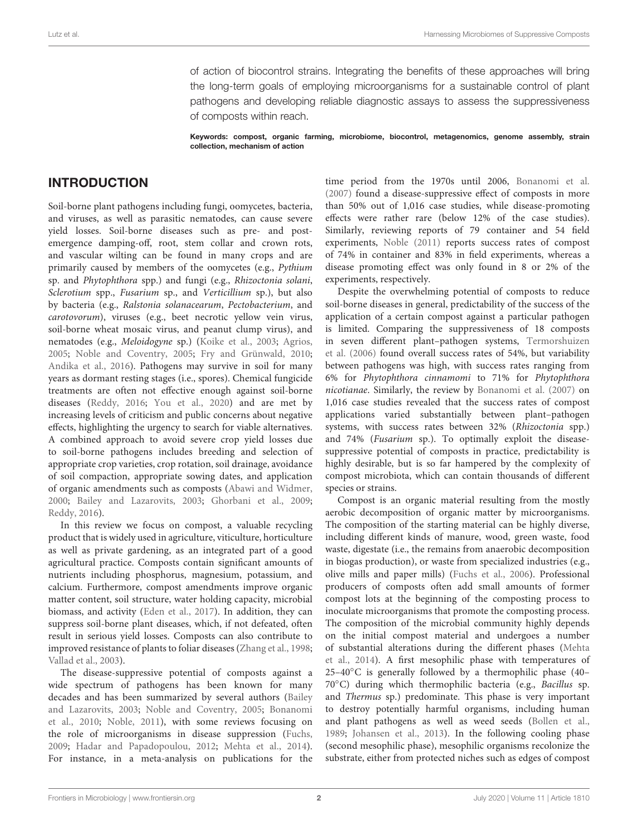of action of biocontrol strains. Integrating the benefits of these approaches will bring the long-term goals of employing microorganisms for a sustainable control of plant pathogens and developing reliable diagnostic assays to assess the suppressiveness of composts within reach.

Keywords: compost, organic farming, microbiome, biocontrol, metagenomics, genome assembly, strain collection, mechanism of action

### INTRODUCTION

Soil-borne plant pathogens including fungi, oomycetes, bacteria, and viruses, as well as parasitic nematodes, can cause severe yield losses. Soil-borne diseases such as pre- and postemergence damping-off, root, stem collar and crown rots, and vascular wilting can be found in many crops and are primarily caused by members of the oomycetes (e.g., Pythium sp. and Phytophthora spp.) and fungi (e.g., Rhizoctonia solani, Sclerotium spp., Fusarium sp., and Verticillium sp.), but also by bacteria (e.g., Ralstonia solanacearum, Pectobacterium, and carotovorum), viruses (e.g., beet necrotic yellow vein virus, soil-borne wheat mosaic virus, and peanut clump virus), and nematodes (e.g., Meloidogyne sp.) [\(Koike et al.,](#page-13-0) [2003;](#page-13-0) [Agrios,](#page-11-0) [2005;](#page-11-0) [Noble and Coventry,](#page-13-1) [2005;](#page-13-1) [Fry and Grünwald,](#page-12-0) [2010;](#page-12-0) [Andika et al.,](#page-11-1) [2016\)](#page-11-1). Pathogens may survive in soil for many years as dormant resting stages (i.e., spores). Chemical fungicide treatments are often not effective enough against soil-borne diseases [\(Reddy,](#page-13-2) [2016;](#page-13-2) [You et al.,](#page-14-0) [2020\)](#page-14-0) and are met by increasing levels of criticism and public concerns about negative effects, highlighting the urgency to search for viable alternatives. A combined approach to avoid severe crop yield losses due to soil-borne pathogens includes breeding and selection of appropriate crop varieties, crop rotation, soil drainage, avoidance of soil compaction, appropriate sowing dates, and application of organic amendments such as composts [\(Abawi and Widmer,](#page-11-2) [2000;](#page-11-2) [Bailey and Lazarovits,](#page-11-3) [2003;](#page-11-3) [Ghorbani et al.,](#page-12-1) [2009;](#page-12-1) [Reddy,](#page-13-2) [2016\)](#page-13-2).

In this review we focus on compost, a valuable recycling product that is widely used in agriculture, viticulture, horticulture as well as private gardening, as an integrated part of a good agricultural practice. Composts contain significant amounts of nutrients including phosphorus, magnesium, potassium, and calcium. Furthermore, compost amendments improve organic matter content, soil structure, water holding capacity, microbial biomass, and activity [\(Eden et al.,](#page-12-2) [2017\)](#page-12-2). In addition, they can suppress soil-borne plant diseases, which, if not defeated, often result in serious yield losses. Composts can also contribute to improved resistance of plants to foliar diseases [\(Zhang et al.,](#page-14-1) [1998;](#page-14-1) [Vallad et al.,](#page-14-2) [2003\)](#page-14-2).

The disease-suppressive potential of composts against a wide spectrum of pathogens has been known for many decades and has been summarized by several authors [\(Bailey](#page-11-3) [and Lazarovits,](#page-11-3) [2003;](#page-11-3) [Noble and Coventry,](#page-13-1) [2005;](#page-13-1) [Bonanomi](#page-11-4) [et al.,](#page-11-4) [2010;](#page-11-4) [Noble,](#page-13-3) [2011\)](#page-13-3), with some reviews focusing on the role of microorganisms in disease suppression [\(Fuchs,](#page-12-3) [2009;](#page-12-3) [Hadar and Papadopoulou,](#page-12-4) [2012;](#page-12-4) [Mehta et al.,](#page-13-4) [2014\)](#page-13-4). For instance, in a meta-analysis on publications for the time period from the 1970s until 2006, [Bonanomi et al.](#page-11-5) [\(2007\)](#page-11-5) found a disease-suppressive effect of composts in more than 50% out of 1,016 case studies, while disease-promoting effects were rather rare (below 12% of the case studies). Similarly, reviewing reports of 79 container and 54 field experiments, [Noble](#page-13-3) [\(2011\)](#page-13-3) reports success rates of compost of 74% in container and 83% in field experiments, whereas a disease promoting effect was only found in 8 or 2% of the experiments, respectively.

Despite the overwhelming potential of composts to reduce soil-borne diseases in general, predictability of the success of the application of a certain compost against a particular pathogen is limited. Comparing the suppressiveness of 18 composts in seven different plant–pathogen systems, [Termorshuizen](#page-14-3) [et al.](#page-14-3) [\(2006\)](#page-14-3) found overall success rates of 54%, but variability between pathogens was high, with success rates ranging from 6% for Phytophthora cinnamomi to 71% for Phytophthora nicotianae. Similarly, the review by [Bonanomi et al.](#page-11-5) [\(2007\)](#page-11-5) on 1,016 case studies revealed that the success rates of compost applications varied substantially between plant–pathogen systems, with success rates between 32% (Rhizoctonia spp.) and 74% (Fusarium sp.). To optimally exploit the diseasesuppressive potential of composts in practice, predictability is highly desirable, but is so far hampered by the complexity of compost microbiota, which can contain thousands of different species or strains.

Compost is an organic material resulting from the mostly aerobic decomposition of organic matter by microorganisms. The composition of the starting material can be highly diverse, including different kinds of manure, wood, green waste, food waste, digestate (i.e., the remains from anaerobic decomposition in biogas production), or waste from specialized industries (e.g., olive mills and paper mills) [\(Fuchs et al.,](#page-12-5) [2006\)](#page-12-5). Professional producers of composts often add small amounts of former compost lots at the beginning of the composting process to inoculate microorganisms that promote the composting process. The composition of the microbial community highly depends on the initial compost material and undergoes a number of substantial alterations during the different phases [\(Mehta](#page-13-4) [et al.,](#page-13-4) [2014\)](#page-13-4). A first mesophilic phase with temperatures of  $25-40\degree$ C is generally followed by a thermophilic phase (40– 70◦C) during which thermophilic bacteria (e.g., Bacillus sp. and Thermus sp.) predominate. This phase is very important to destroy potentially harmful organisms, including human and plant pathogens as well as weed seeds [\(Bollen et al.,](#page-11-6) [1989;](#page-11-6) [Johansen et al.,](#page-13-5) [2013\)](#page-13-5). In the following cooling phase (second mesophilic phase), mesophilic organisms recolonize the substrate, either from protected niches such as edges of compost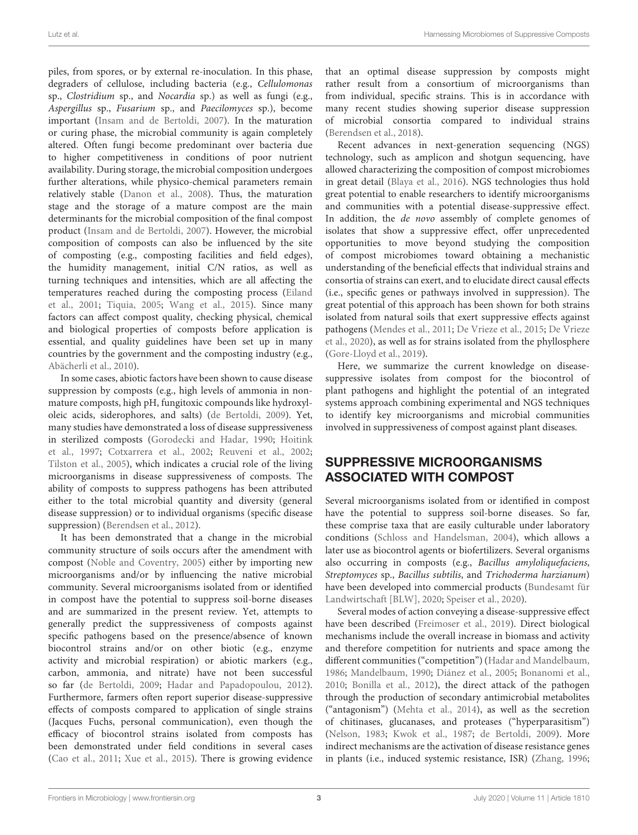piles, from spores, or by external re-inoculation. In this phase, degraders of cellulose, including bacteria (e.g., Cellulomonas sp., Clostridium sp., and Nocardia sp.) as well as fungi (e.g., Aspergillus sp., Fusarium sp., and Paecilomyces sp.), become important [\(Insam and de Bertoldi,](#page-13-6) [2007\)](#page-13-6). In the maturation or curing phase, the microbial community is again completely altered. Often fungi become predominant over bacteria due to higher competitiveness in conditions of poor nutrient availability. During storage, the microbial composition undergoes further alterations, while physico-chemical parameters remain relatively stable [\(Danon et al.,](#page-12-6) [2008\)](#page-12-6). Thus, the maturation stage and the storage of a mature compost are the main determinants for the microbial composition of the final compost product [\(Insam and de Bertoldi,](#page-13-6) [2007\)](#page-13-6). However, the microbial composition of composts can also be influenced by the site of composting (e.g., composting facilities and field edges), the humidity management, initial C/N ratios, as well as turning techniques and intensities, which are all affecting the temperatures reached during the composting process [\(Eiland](#page-12-7) [et al.,](#page-12-7) [2001;](#page-12-7) [Tiquia,](#page-14-4) [2005;](#page-14-4) [Wang et al.,](#page-14-5) [2015\)](#page-14-5). Since many factors can affect compost quality, checking physical, chemical and biological properties of composts before application is essential, and quality guidelines have been set up in many countries by the government and the composting industry (e.g., [Abächerli et al.,](#page-11-7) [2010\)](#page-11-7).

In some cases, abiotic factors have been shown to cause disease suppression by composts (e.g., high levels of ammonia in nonmature composts, high pH, fungitoxic compounds like hydroxyloleic acids, siderophores, and salts) [\(de Bertoldi,](#page-12-8) [2009\)](#page-12-8). Yet, many studies have demonstrated a loss of disease suppressiveness in sterilized composts [\(Gorodecki and Hadar,](#page-12-9) [1990;](#page-12-9) [Hoitink](#page-12-10) [et al.,](#page-12-10) [1997;](#page-12-10) [Cotxarrera et al.,](#page-12-11) [2002;](#page-12-11) [Reuveni et al.,](#page-13-7) [2002;](#page-13-7) [Tilston et al.,](#page-14-6) [2005\)](#page-14-6), which indicates a crucial role of the living microorganisms in disease suppressiveness of composts. The ability of composts to suppress pathogens has been attributed either to the total microbial quantity and diversity (general disease suppression) or to individual organisms (specific disease suppression) [\(Berendsen et al.,](#page-11-8) [2012\)](#page-11-8).

It has been demonstrated that a change in the microbial community structure of soils occurs after the amendment with compost [\(Noble and Coventry,](#page-13-1) [2005\)](#page-13-1) either by importing new microorganisms and/or by influencing the native microbial community. Several microorganisms isolated from or identified in compost have the potential to suppress soil-borne diseases and are summarized in the present review. Yet, attempts to generally predict the suppressiveness of composts against specific pathogens based on the presence/absence of known biocontrol strains and/or on other biotic (e.g., enzyme activity and microbial respiration) or abiotic markers (e.g., carbon, ammonia, and nitrate) have not been successful so far [\(de Bertoldi,](#page-12-8) [2009;](#page-12-8) [Hadar and Papadopoulou,](#page-12-4) [2012\)](#page-12-4). Furthermore, farmers often report superior disease-suppressive effects of composts compared to application of single strains (Jacques Fuchs, personal communication), even though the efficacy of biocontrol strains isolated from composts has been demonstrated under field conditions in several cases [\(Cao et al.,](#page-12-12) [2011;](#page-12-12) [Xue et al.,](#page-14-7) [2015\)](#page-14-7). There is growing evidence that an optimal disease suppression by composts might rather result from a consortium of microorganisms than from individual, specific strains. This is in accordance with many recent studies showing superior disease suppression of microbial consortia compared to individual strains [\(Berendsen et al.,](#page-11-9) [2018\)](#page-11-9).

Recent advances in next-generation sequencing (NGS) technology, such as amplicon and shotgun sequencing, have allowed characterizing the composition of compost microbiomes in great detail [\(Blaya et al.,](#page-11-10) [2016\)](#page-11-10). NGS technologies thus hold great potential to enable researchers to identify microorganisms and communities with a potential disease-suppressive effect. In addition, the de novo assembly of complete genomes of isolates that show a suppressive effect, offer unprecedented opportunities to move beyond studying the composition of compost microbiomes toward obtaining a mechanistic understanding of the beneficial effects that individual strains and consortia of strains can exert, and to elucidate direct causal effects (i.e., specific genes or pathways involved in suppression). The great potential of this approach has been shown for both strains isolated from natural soils that exert suppressive effects against pathogens [\(Mendes et al.,](#page-13-8) [2011;](#page-13-8) [De Vrieze et al.,](#page-12-13) [2015;](#page-12-13) [De Vrieze](#page-12-14) [et al.,](#page-12-14) [2020\)](#page-12-14), as well as for strains isolated from the phyllosphere [\(Gore-Lloyd et al.,](#page-12-15) [2019\)](#page-12-15).

Here, we summarize the current knowledge on diseasesuppressive isolates from compost for the biocontrol of plant pathogens and highlight the potential of an integrated systems approach combining experimental and NGS techniques to identify key microorganisms and microbial communities involved in suppressiveness of compost against plant diseases.

## SUPPRESSIVE MICROORGANISMS ASSOCIATED WITH COMPOST

Several microorganisms isolated from or identified in compost have the potential to suppress soil-borne diseases. So far, these comprise taxa that are easily culturable under laboratory conditions [\(Schloss and Handelsman,](#page-14-8) [2004\)](#page-14-8), which allows a later use as biocontrol agents or biofertilizers. Several organisms also occurring in composts (e.g., Bacillus amyloliquefaciens, Streptomyces sp., Bacillus subtilis, and Trichoderma harzianum) have been developed into commercial products [\(Bundesamt für](#page-12-16) [Landwirtschaft \[BLW\],](#page-12-16) [2020;](#page-12-16) [Speiser et al.,](#page-14-9) [2020\)](#page-14-9).

Several modes of action conveying a disease-suppressive effect have been described [\(Freimoser et al.,](#page-12-17) [2019\)](#page-12-17). Direct biological mechanisms include the overall increase in biomass and activity and therefore competition for nutrients and space among the different communities ("competition") [\(Hadar and Mandelbaum,](#page-12-18) [1986;](#page-12-18) [Mandelbaum,](#page-13-9) [1990;](#page-13-9) [Diánez et al.,](#page-12-19) [2005;](#page-12-19) [Bonanomi et al.,](#page-11-4) [2010;](#page-11-4) [Bonilla et al.,](#page-12-20) [2012\)](#page-12-20), the direct attack of the pathogen through the production of secondary antimicrobial metabolites ("antagonism") [\(Mehta et al.,](#page-13-4) [2014\)](#page-13-4), as well as the secretion of chitinases, glucanases, and proteases ("hyperparasitism") [\(Nelson,](#page-13-10) [1983;](#page-13-10) [Kwok et al.,](#page-13-11) [1987;](#page-13-11) [de Bertoldi,](#page-12-8) [2009\)](#page-12-8). More indirect mechanisms are the activation of disease resistance genes in plants (i.e., induced systemic resistance, ISR) [\(Zhang,](#page-14-10) [1996;](#page-14-10)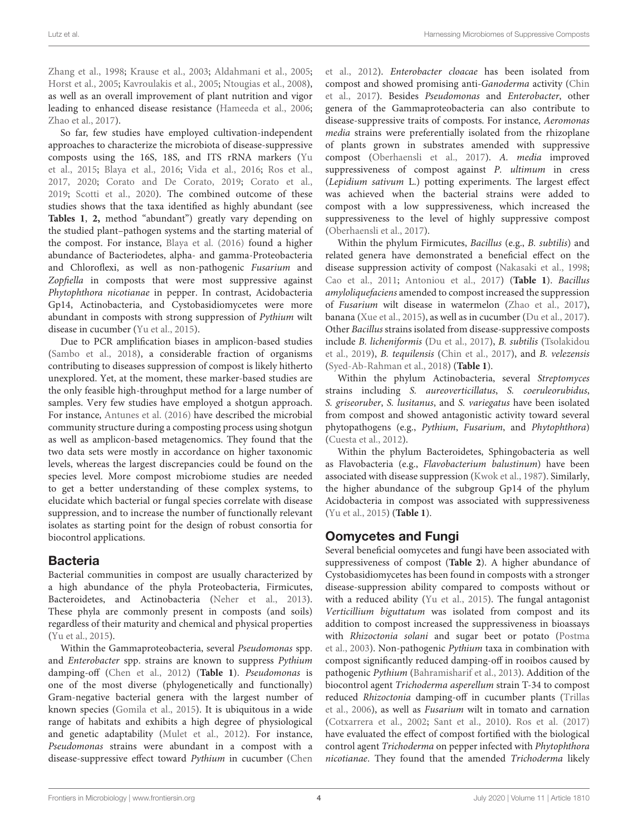[Zhang et al.,](#page-14-1) [1998;](#page-14-1) [Krause et al.,](#page-13-12) [2003;](#page-13-12) [Aldahmani et al.,](#page-11-11) [2005;](#page-11-11) [Horst et al.,](#page-12-21) [2005;](#page-12-21) [Kavroulakis et al.,](#page-13-13) [2005;](#page-13-13) [Ntougias et al.,](#page-13-14) [2008\)](#page-13-14), as well as an overall improvement of plant nutrition and vigor leading to enhanced disease resistance [\(Hameeda et al.,](#page-12-22) [2006;](#page-12-22) [Zhao et al.,](#page-14-11) [2017\)](#page-14-11).

So far, few studies have employed cultivation-independent approaches to characterize the microbiota of disease-suppressive composts using the 16S, 18S, and ITS rRNA markers [\(Yu](#page-14-12) [et al.,](#page-14-12) [2015;](#page-14-12) [Blaya et al.,](#page-11-10) [2016;](#page-11-10) [Vida et al.,](#page-14-13) [2016;](#page-14-13) [Ros et al.,](#page-13-15) [2017,](#page-13-15) [2020;](#page-13-16) [Corato and De Corato,](#page-12-23) [2019;](#page-12-23) [Corato et al.,](#page-12-24) [2019;](#page-12-24) [Scotti et al.,](#page-14-14) [2020\)](#page-14-14). The combined outcome of these studies shows that the taxa identified as highly abundant (see **[Tables 1](#page-4-0)**, **[2,](#page-7-0)** method "abundant") greatly vary depending on the studied plant–pathogen systems and the starting material of the compost. For instance, [Blaya et al.](#page-11-10) [\(2016\)](#page-11-10) found a higher abundance of Bacteriodetes, alpha- and gamma-Proteobacteria and Chloroflexi, as well as non-pathogenic Fusarium and Zopfiella in composts that were most suppressive against Phytophthora nicotianae in pepper. In contrast, Acidobacteria Gp14, Actinobacteria, and Cystobasidiomycetes were more abundant in composts with strong suppression of Pythium wilt disease in cucumber [\(Yu et al.,](#page-14-12) [2015\)](#page-14-12).

Due to PCR amplification biases in amplicon-based studies [\(Sambo et al.,](#page-13-17) [2018\)](#page-13-17), a considerable fraction of organisms contributing to diseases suppression of compost is likely hitherto unexplored. Yet, at the moment, these marker-based studies are the only feasible high-throughput method for a large number of samples. Very few studies have employed a shotgun approach. For instance, [Antunes et al.](#page-11-12) [\(2016\)](#page-11-12) have described the microbial community structure during a composting process using shotgun as well as amplicon-based metagenomics. They found that the two data sets were mostly in accordance on higher taxonomic levels, whereas the largest discrepancies could be found on the species level. More compost microbiome studies are needed to get a better understanding of these complex systems, to elucidate which bacterial or fungal species correlate with disease suppression, and to increase the number of functionally relevant isolates as starting point for the design of robust consortia for biocontrol applications.

### Bacteria

Bacterial communities in compost are usually characterized by a high abundance of the phyla Proteobacteria, Firmicutes, Bacteroidetes, and Actinobacteria [\(Neher et al.,](#page-13-18) [2013\)](#page-13-18). These phyla are commonly present in composts (and soils) regardless of their maturity and chemical and physical properties [\(Yu et al.,](#page-14-12) [2015\)](#page-14-12).

Within the Gammaproteobacteria, several Pseudomonas spp. and Enterobacter spp. strains are known to suppress Pythium damping-off [\(Chen et al.,](#page-12-25) [2012\)](#page-12-25) (**[Table 1](#page-4-0)**). Pseudomonas is one of the most diverse (phylogenetically and functionally) Gram-negative bacterial genera with the largest number of known species [\(Gomila et al.,](#page-12-26) [2015\)](#page-12-26). It is ubiquitous in a wide range of habitats and exhibits a high degree of physiological and genetic adaptability [\(Mulet et al.,](#page-13-19) [2012\)](#page-13-19). For instance, Pseudomonas strains were abundant in a compost with a disease-suppressive effect toward Pythium in cucumber [\(Chen](#page-12-25)

[et al.,](#page-12-25) [2012\)](#page-12-25). Enterobacter cloacae has been isolated from compost and showed promising anti-Ganoderma activity [\(Chin](#page-12-27) [et al.,](#page-12-27) [2017\)](#page-12-27). Besides Pseudomonas and Enterobacter, other genera of the Gammaproteobacteria can also contribute to disease-suppressive traits of composts. For instance, Aeromonas media strains were preferentially isolated from the rhizoplane of plants grown in substrates amended with suppressive compost [\(Oberhaensli et al.,](#page-13-20) [2017\)](#page-13-20). A. media improved suppressiveness of compost against P. ultimum in cress (Lepidium sativum L.) potting experiments. The largest effect was achieved when the bacterial strains were added to compost with a low suppressiveness, which increased the suppressiveness to the level of highly suppressive compost [\(Oberhaensli et al.,](#page-13-20) [2017\)](#page-13-20).

Within the phylum Firmicutes, Bacillus (e.g., B. subtilis) and related genera have demonstrated a beneficial effect on the disease suppression activity of compost [\(Nakasaki et al.,](#page-13-21) [1998;](#page-13-21) [Cao et al.,](#page-12-12) [2011;](#page-12-12) [Antoniou et al.,](#page-11-13) [2017\)](#page-11-13) (**[Table 1](#page-4-0)**). Bacillus amyloliquefaciens amended to compost increased the suppression of Fusarium wilt disease in watermelon [\(Zhao et al.,](#page-14-11) [2017\)](#page-14-11), banana [\(Xue et al.,](#page-14-7) [2015\)](#page-14-7), as well as in cucumber [\(Du et al.,](#page-12-28) [2017\)](#page-12-28). Other Bacillus strains isolated from disease-suppressive composts include B. licheniformis [\(Du et al.,](#page-12-28) [2017\)](#page-12-28), B. subtilis [\(Tsolakidou](#page-14-15) [et al.,](#page-14-15) [2019\)](#page-14-15), B. tequilensis [\(Chin et al.,](#page-12-27) [2017\)](#page-12-27), and B. velezensis [\(Syed-Ab-Rahman et al.,](#page-14-16) [2018\)](#page-14-16) (**[Table 1](#page-4-0)**).

Within the phylum Actinobacteria, several Streptomyces strains including S. aureoverticillatus, S. coeruleorubidus, S. griseoruber, S. lusitanus, and S. variegatus have been isolated from compost and showed antagonistic activity toward several phytopathogens (e.g., Pythium, Fusarium, and Phytophthora) [\(Cuesta et al.,](#page-12-29) [2012\)](#page-12-29).

Within the phylum Bacteroidetes, Sphingobacteria as well as Flavobacteria (e.g., Flavobacterium balustinum) have been associated with disease suppression [\(Kwok et al.,](#page-13-11) [1987\)](#page-13-11). Similarly, the higher abundance of the subgroup Gp14 of the phylum Acidobacteria in compost was associated with suppressiveness [\(Yu et al.,](#page-14-12) [2015\)](#page-14-12) (**[Table 1](#page-4-0)**).

## Oomycetes and Fungi

Several beneficial oomycetes and fungi have been associated with suppressiveness of compost (**[Table 2](#page-7-0)**). A higher abundance of Cystobasidiomycetes has been found in composts with a stronger disease-suppression ability compared to composts without or with a reduced ability [\(Yu et al.,](#page-14-12) [2015\)](#page-14-12). The fungal antagonist Verticillium biguttatum was isolated from compost and its addition to compost increased the suppressiveness in bioassays with Rhizoctonia solani and sugar beet or potato [\(Postma](#page-13-22) [et al.,](#page-13-22) [2003\)](#page-13-22). Non-pathogenic Pythium taxa in combination with compost significantly reduced damping-off in rooibos caused by pathogenic Pythium [\(Bahramisharif et al.,](#page-11-14) [2013\)](#page-11-14). Addition of the biocontrol agent Trichoderma asperellum strain T-34 to compost reduced Rhizoctonia damping-off in cucumber plants [\(Trillas](#page-14-17) [et al.,](#page-14-17) [2006\)](#page-14-17), as well as Fusarium wilt in tomato and carnation [\(Cotxarrera et al.,](#page-12-11) [2002;](#page-12-11) [Sant et al.,](#page-13-23) [2010\)](#page-13-23). [Ros et al.](#page-13-15) [\(2017\)](#page-13-15) have evaluated the effect of compost fortified with the biological control agent Trichoderma on pepper infected with Phytophthora nicotianae. They found that the amended Trichoderma likely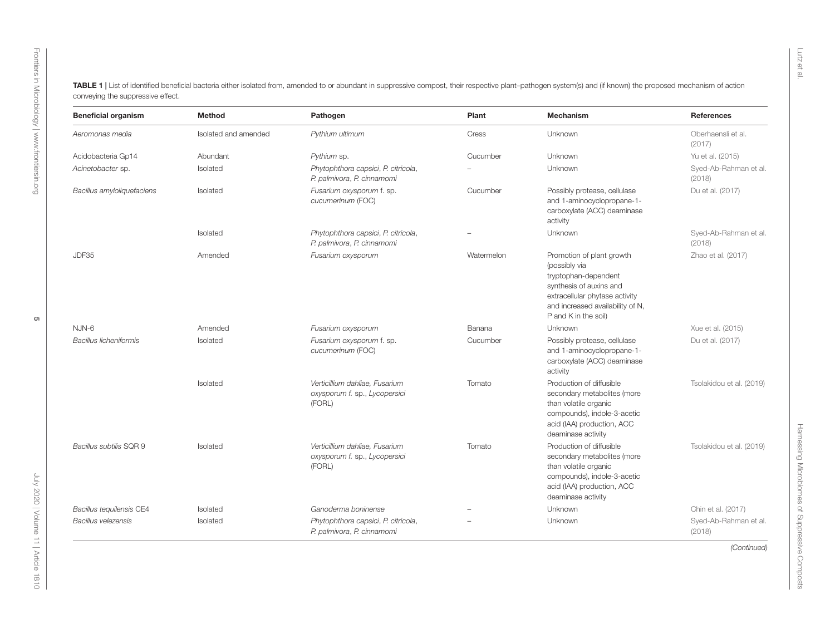<span id="page-4-0"></span>

| <b>Beneficial organism</b>    | Method               | Pathogen                                                                  | Plant      | Mechanism                                                                                                                                                                                   | References                      |
|-------------------------------|----------------------|---------------------------------------------------------------------------|------------|---------------------------------------------------------------------------------------------------------------------------------------------------------------------------------------------|---------------------------------|
| Aeromonas media               | Isolated and amended | Pythium ultimum                                                           | Cress      | Unknown                                                                                                                                                                                     | Oberhaensli et al.<br>(2017)    |
| Acidobacteria Gp14            | Abundant             | Pythium sp.                                                               | Cucumber   | Unknown                                                                                                                                                                                     | Yu et al. (2015)                |
| Acinetobacter sp.             | Isolated             | Phytophthora capsici, P. citricola,<br>P. palmivora, P. cinnamomi         |            | Unknown                                                                                                                                                                                     | Syed-Ab-Rahman et al.<br>(2018) |
| Bacillus amyloliquefaciens    | Isolated             | Fusarium oxysporum f. sp.<br>cucumerinum (FOC)                            | Cucumber   | Possibly protease, cellulase<br>and 1-aminocyclopropane-1-<br>carboxylate (ACC) deaminase<br>activity                                                                                       | Du et al. (2017)                |
|                               | Isolated             | Phytophthora capsici, P. citricola,<br>P. palmivora, P. cinnamomi         |            | Unknown                                                                                                                                                                                     | Syed-Ab-Rahman et al.<br>(2018) |
| JDF35                         | Amended              | Fusarium oxysporum                                                        | Watermelon | Promotion of plant growth<br>(possibly via<br>tryptophan-dependent<br>synthesis of auxins and<br>extracellular phytase activity<br>and increased availability of N,<br>P and K in the soil) | Zhao et al. (2017)              |
| NJN-6                         | Amended              | Fusarium oxysporum                                                        | Banana     | Unknown                                                                                                                                                                                     | Xue et al. (2015)               |
| <b>Bacillus licheniformis</b> | Isolated             | Fusarium oxysporum f. sp.<br>cucumerinum (FOC)                            | Cucumber   | Possibly protease, cellulase<br>and 1-aminocyclopropane-1-<br>carboxylate (ACC) deaminase<br>activity                                                                                       | Du et al. (2017)                |
|                               | Isolated             | Verticillium dahliae, Fusarium<br>oxysporum f. sp., Lycopersici<br>(FORL) | Tomato     | Production of diffusible<br>secondary metabolites (more<br>than volatile organic<br>compounds), indole-3-acetic<br>acid (IAA) production, ACC<br>deaminase activity                         | Tsolakidou et al. (2019)        |
| Bacillus subtilis SQR 9       | Isolated             | Verticillium dahliae, Fusarium<br>oxysporum f. sp., Lycopersici<br>(FORL) | Tomato     | Production of diffusible<br>secondary metabolites (more<br>than volatile organic<br>compounds), indole-3-acetic<br>acid (IAA) production, ACC<br>deaminase activity                         | Tsolakidou et al. (2019)        |
| Bacillus tequilensis CE4      | Isolated             | Ganoderma boninense                                                       |            | Unknown                                                                                                                                                                                     | Chin et al. (2017)              |
| Bacillus velezensis           | Isolated             | Phytophthora capsici, P. citricola,<br>P. palmivora, P. cinnamomi         |            | Unknown                                                                                                                                                                                     | Syed-Ab-Rahman et al.<br>(2018) |
|                               |                      |                                                                           |            |                                                                                                                                                                                             | (Continued)                     |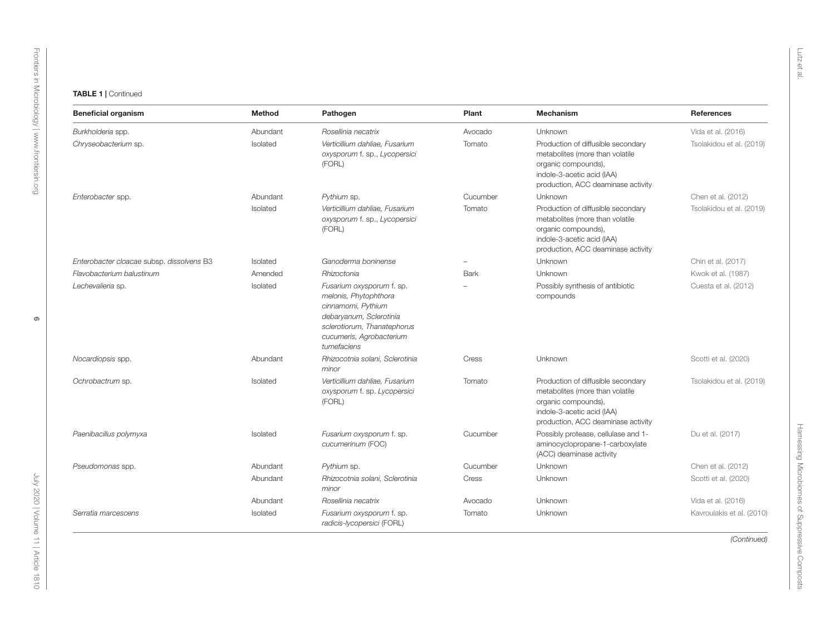| <b>Beneficial organism</b>                | <b>Method</b> | Pathogen                                                                                                                                                                      | Plant                    | Mechanism                                                                                                                                                        | References                |
|-------------------------------------------|---------------|-------------------------------------------------------------------------------------------------------------------------------------------------------------------------------|--------------------------|------------------------------------------------------------------------------------------------------------------------------------------------------------------|---------------------------|
| Burkholderia spp.                         | Abundant      | Rosellinia necatrix                                                                                                                                                           | Avocado                  | Unknown                                                                                                                                                          | Vida et al. (2016)        |
| Chryseobacterium sp.                      | Isolated      | Verticillium dahliae, Fusarium<br>oxysporum f. sp., Lycopersici<br>(FORL)                                                                                                     | Tomato                   | Production of diffusible secondary<br>metabolites (more than volatile<br>organic compounds),<br>indole-3-acetic acid (IAA)<br>production, ACC deaminase activity | Tsolakidou et al. (2019)  |
| Enterobacter spp.                         | Abundant      | Pythium sp.                                                                                                                                                                   | Cucumber                 | Unknown                                                                                                                                                          | Chen et al. (2012)        |
|                                           | Isolated      | Verticillium dahliae, Fusarium<br>oxysporum f. sp., Lycopersici<br>(FORL)                                                                                                     | Tomato                   | Production of diffusible secondary<br>metabolites (more than volatile<br>organic compounds),<br>indole-3-acetic acid (IAA)<br>production, ACC deaminase activity | Tsolakidou et al. (2019)  |
| Enterobacter cloacae subsp. dissolvens B3 | Isolated      | Ganoderma boninense                                                                                                                                                           | $\overline{\phantom{a}}$ | <b>Unknown</b>                                                                                                                                                   | Chin et al. (2017)        |
| Flavobacterium balustinum                 | Amended       | Rhizoctonia                                                                                                                                                                   | <b>Bark</b>              | Unknown                                                                                                                                                          | Kwok et al. (1987)        |
| Lechevalieria sp.                         | Isolated      | Fusarium oxysporum f. sp.<br>melonis, Phytophthora<br>cinnamomi, Pythium<br>debaryanum, Sclerotinia<br>sclerotiorum, Thanatephorus<br>cucumeris, Agrobacterium<br>tumefaciens |                          | Possibly synthesis of antibiotic<br>compounds                                                                                                                    | Cuesta et al. (2012)      |
| Nocardiopsis spp.                         | Abundant      | Rhizocotnia solani, Sclerotinia<br>minor                                                                                                                                      | Cress                    | Unknown                                                                                                                                                          | Scotti et al. (2020)      |
| Ochrobactrum sp.                          | Isolated      | Verticillium dahliae, Fusarium<br>oxysporum f. sp. Lycopersici<br>(FORL)                                                                                                      | Tomato                   | Production of diffusible secondary<br>metabolites (more than volatile<br>organic compounds),<br>indole-3-acetic acid (IAA)<br>production, ACC deaminase activity | Tsolakidou et al. (2019)  |
| Paenibacillus polymyxa                    | Isolated      | Fusarium oxysporum f. sp.<br>cucumerinum (FOC)                                                                                                                                | Cucumber                 | Possibly protease, cellulase and 1-<br>aminocyclopropane-1-carboxylate<br>(ACC) deaminase activity                                                               | Du et al. (2017)          |
| Pseudomonas spp.                          | Abundant      | Pythium sp.                                                                                                                                                                   | Cucumber                 | Unknown                                                                                                                                                          | Chen et al. (2012)        |
|                                           | Abundant      | Rhizocotnia solani, Sclerotinia<br>minor                                                                                                                                      | Cress                    | Unknown                                                                                                                                                          | Scotti et al. (2020)      |
|                                           | Abundant      | Rosellinia necatrix                                                                                                                                                           | Avocado                  | Unknown                                                                                                                                                          | Vida et al. (2016)        |
| Serratia marcescens                       | Isolated      | Fusarium oxysporum f. sp.<br>radicis-lycopersici (FORL)                                                                                                                       | Tomato                   | Unknown                                                                                                                                                          | Kavroulakis et al. (2010) |
|                                           |               |                                                                                                                                                                               |                          |                                                                                                                                                                  | (Continued)               |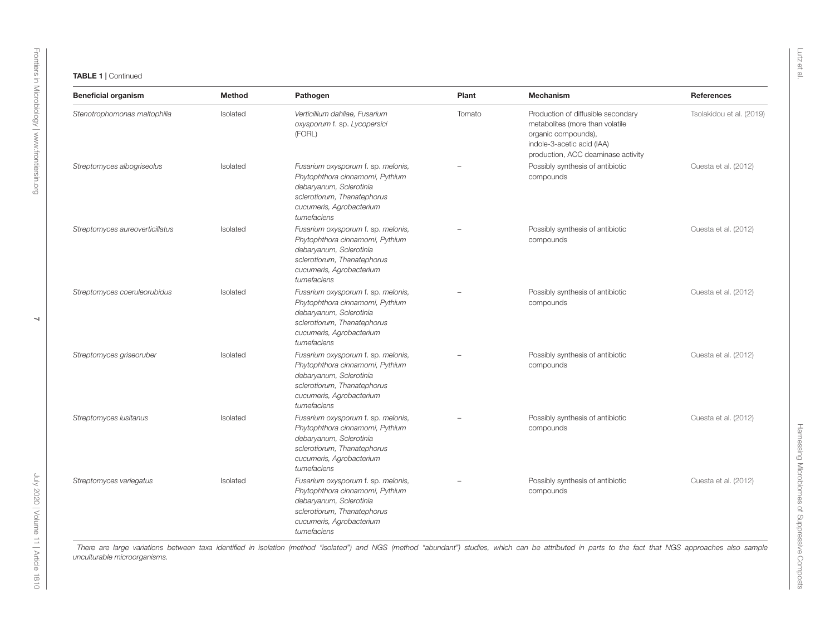| <b>Beneficial organism</b>      | <b>Method</b> | Pathogen                                                                                                                                                                   | Plant  | Mechanism                                                                                                                                                        | References               |
|---------------------------------|---------------|----------------------------------------------------------------------------------------------------------------------------------------------------------------------------|--------|------------------------------------------------------------------------------------------------------------------------------------------------------------------|--------------------------|
| Stenotrophomonas maltophilia    | Isolated      | Verticillium dahliae, Fusarium<br>oxysporum f. sp. Lycopersici<br>(FORL)                                                                                                   | Tomato | Production of diffusible secondary<br>metabolites (more than volatile<br>organic compounds),<br>indole-3-acetic acid (IAA)<br>production, ACC deaminase activity | Tsolakidou et al. (2019) |
| Streptomyces albogriseolus      | Isolated      | Fusarium oxysporum f. sp. melonis,<br>Phytophthora cinnamomi, Pythium<br>debaryanum, Sclerotinia<br>sclerotiorum, Thanatephorus<br>cucumeris, Agrobacterium<br>tumefaciens |        | Possibly synthesis of antibiotic<br>compounds                                                                                                                    | Cuesta et al. (2012)     |
| Streptomyces aureoverticillatus | Isolated      | Fusarium oxysporum f. sp. melonis,<br>Phytophthora cinnamomi, Pythium<br>debaryanum, Sclerotinia<br>sclerotiorum, Thanatephorus<br>cucumeris, Agrobacterium<br>tumefaciens |        | Possibly synthesis of antibiotic<br>compounds                                                                                                                    | Cuesta et al. (2012)     |
| Streptomyces coeruleorubidus    | Isolated      | Fusarium oxysporum f. sp. melonis,<br>Phytophthora cinnamomi, Pythium<br>debaryanum, Sclerotinia<br>sclerotiorum, Thanatephorus<br>cucumeris, Agrobacterium<br>tumefaciens |        | Possibly synthesis of antibiotic<br>compounds                                                                                                                    | Cuesta et al. (2012)     |
| Streptomyces griseoruber        | Isolated      | Fusarium oxysporum f. sp. melonis,<br>Phytophthora cinnamomi, Pythium<br>debaryanum, Sclerotinia<br>sclerotiorum, Thanatephorus<br>cucumeris, Agrobacterium<br>tumefaciens |        | Possibly synthesis of antibiotic<br>compounds                                                                                                                    | Cuesta et al. (2012)     |
| Streptomyces lusitanus          | Isolated      | Fusarium oxysporum f. sp. melonis,<br>Phytophthora cinnamomi, Pythium<br>debaryanum, Sclerotinia<br>sclerotiorum, Thanatephorus<br>cucumeris, Agrobacterium<br>tumefaciens |        | Possibly synthesis of antibiotic<br>compounds                                                                                                                    | Cuesta et al. (2012)     |
| Streptomyces variegatus         | Isolated      | Fusarium oxysporum f. sp. melonis,<br>Phytophthora cinnamomi, Pythium<br>debaryanum, Sclerotinia<br>sclerotiorum, Thanatephorus<br>cucumeris, Agrobacterium<br>tumefaciens |        | Possibly synthesis of antibiotic<br>compounds                                                                                                                    | Cuesta et al. (2012)     |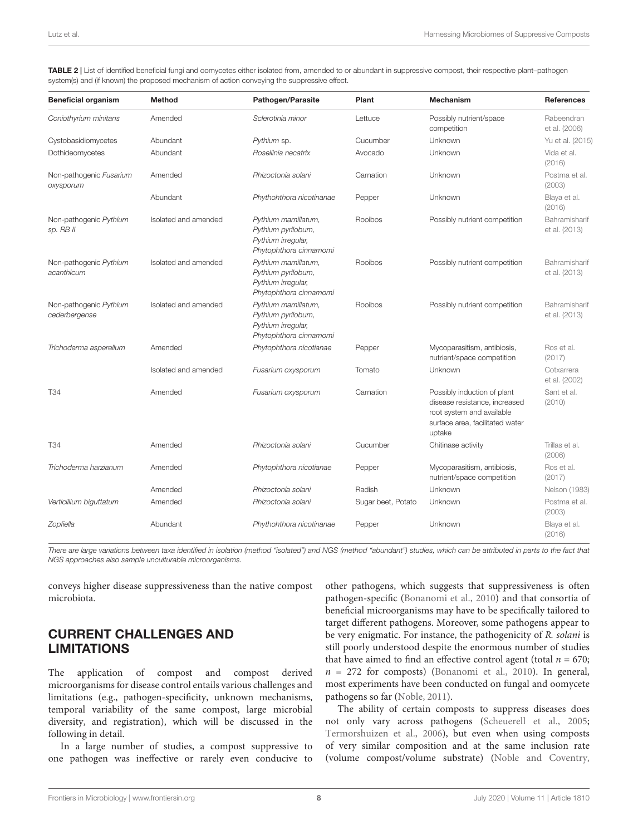| <b>Beneficial organism</b>              | <b>Method</b>        | <b>Pathogen/Parasite</b>                                                                  | Plant              | <b>Mechanism</b>                                                                                                                       | <b>References</b>              |
|-----------------------------------------|----------------------|-------------------------------------------------------------------------------------------|--------------------|----------------------------------------------------------------------------------------------------------------------------------------|--------------------------------|
| Coniothyrium minitans                   | Amended              | Sclerotinia minor                                                                         | Lettuce            | Possibly nutrient/space<br>competition                                                                                                 | Rabeendran<br>et al. (2006)    |
| Cystobasidiomycetes                     | Abundant             | Pythium sp.                                                                               | Cucumber           | Unknown                                                                                                                                | Yu et al. (2015)               |
| Dothideomycetes                         | Abundant             | Rosellinia necatrix                                                                       | Avocado            | Unknown                                                                                                                                | Vida et al.<br>(2016)          |
| Non-pathogenic Fusarium<br>oxysporum    | Amended              | Rhizoctonia solani                                                                        | Carnation          | Unknown                                                                                                                                | Postma et al.<br>(2003)        |
|                                         | Abundant             | Phythohthora nicotinanae                                                                  | Pepper             | Unknown                                                                                                                                | Blaya et al.<br>(2016)         |
| Non-pathogenic Pythium<br>sp. RB II     | Isolated and amended | Pythium mamillatum,<br>Pythium pyrilobum,<br>Pythium irregular,<br>Phytophthora cinnamomi | Rooibos            | Possibly nutrient competition                                                                                                          | Bahramisharif<br>et al. (2013) |
| Non-pathogenic Pythium<br>acanthicum    | Isolated and amended | Pythium mamillatum,<br>Pythium pyrilobum,<br>Pythium irregular,<br>Phytophthora cinnamomi | Rooibos            | Possibly nutrient competition                                                                                                          | Bahramisharif<br>et al. (2013) |
| Non-pathogenic Pythium<br>cederbergense | Isolated and amended | Pythium mamillatum,<br>Pythium pyrilobum,<br>Pythium irregular,<br>Phytophthora cinnamomi | Rooibos            | Possibly nutrient competition                                                                                                          | Bahramisharif<br>et al. (2013) |
| Trichoderma asperellum                  | Amended              | Phytophthora nicotianae                                                                   | Pepper             | Mycoparasitism, antibiosis,<br>nutrient/space competition                                                                              | Ros et al.<br>(2017)           |
|                                         | Isolated and amended | Fusarium oxysporum                                                                        | Tomato             | Unknown                                                                                                                                | Cotxarrera<br>et al. (2002)    |
| T <sub>34</sub>                         | Amended              | Fusarium oxysporum                                                                        | Carnation          | Possibly induction of plant<br>disease resistance, increased<br>root system and available<br>surface area, facilitated water<br>uptake | Sant et al.<br>(2010)          |
| T <sub>34</sub>                         | Amended              | Rhizoctonia solani                                                                        | Cucumber           | Chitinase activity                                                                                                                     | Trillas et al.<br>(2006)       |
| Trichoderma harzianum                   | Amended              | Phytophthora nicotianae                                                                   | Pepper             | Mycoparasitism, antibiosis,<br>nutrient/space competition                                                                              | Ros et al.<br>(2017)           |
|                                         | Amended              | Rhizoctonia solani                                                                        | Radish             | Unknown                                                                                                                                | Nelson (1983)                  |
| Verticillium biguttatum                 | Amended              | Rhizoctonia solani                                                                        | Sugar beet, Potato | Unknown                                                                                                                                | Postma et al.<br>(2003)        |
| Zopfiella                               | Abundant             | Phythohthora nicotinanae                                                                  | Pepper             | Unknown                                                                                                                                | Blaya et al.<br>(2016)         |

<span id="page-7-0"></span>TABLE 2 | List of identified beneficial fungi and oomycetes either isolated from, amended to or abundant in suppressive compost, their respective plant–pathogen system(s) and (if known) the proposed mechanism of action conveying the suppressive effect.

There are large variations between taxa identified in isolation (method "isolated") and NGS (method "abundant") studies, which can be attributed in parts to the fact that NGS approaches also sample unculturable microorganisms.

conveys higher disease suppressiveness than the native compost microbiota.

### CURRENT CHALLENGES AND LIMITATIONS

The application of compost and compost derived microorganisms for disease control entails various challenges and limitations (e.g., pathogen-specificity, unknown mechanisms, temporal variability of the same compost, large microbial diversity, and registration), which will be discussed in the following in detail.

In a large number of studies, a compost suppressive to one pathogen was ineffective or rarely even conducive to other pathogens, which suggests that suppressiveness is often pathogen-specific [\(Bonanomi et al.,](#page-11-4) [2010\)](#page-11-4) and that consortia of beneficial microorganisms may have to be specifically tailored to target different pathogens. Moreover, some pathogens appear to be very enigmatic. For instance, the pathogenicity of R. solani is still poorly understood despite the enormous number of studies that have aimed to find an effective control agent (total  $n = 670$ ;  $n = 272$  for composts) [\(Bonanomi et al.,](#page-11-4) [2010\)](#page-11-4). In general, most experiments have been conducted on fungal and oomycete pathogens so far [\(Noble,](#page-13-3) [2011\)](#page-13-3).

The ability of certain composts to suppress diseases does not only vary across pathogens [\(Scheuerell et al.,](#page-14-25) [2005;](#page-14-25) [Termorshuizen et al.,](#page-14-3) [2006\)](#page-14-3), but even when using composts of very similar composition and at the same inclusion rate (volume compost/volume substrate) [\(Noble and Coventry,](#page-13-1)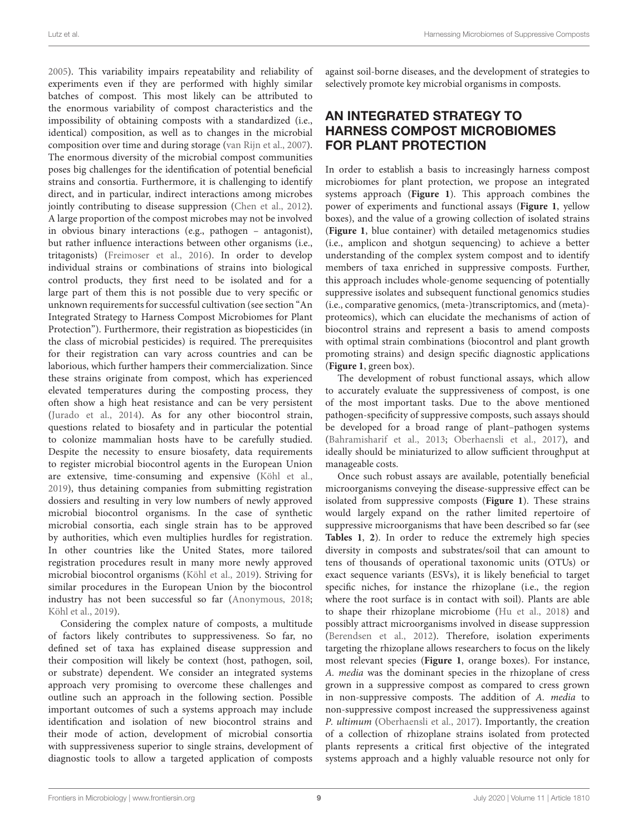[2005\)](#page-13-1). This variability impairs repeatability and reliability of experiments even if they are performed with highly similar batches of compost. This most likely can be attributed to the enormous variability of compost characteristics and the impossibility of obtaining composts with a standardized (i.e., identical) composition, as well as to changes in the microbial composition over time and during storage [\(van Rijn et al.,](#page-14-26) [2007\)](#page-14-26). The enormous diversity of the microbial compost communities poses big challenges for the identification of potential beneficial strains and consortia. Furthermore, it is challenging to identify direct, and in particular, indirect interactions among microbes jointly contributing to disease suppression [\(Chen et al.,](#page-12-25) [2012\)](#page-12-25). A large proportion of the compost microbes may not be involved in obvious binary interactions (e.g., pathogen – antagonist), but rather influence interactions between other organisms (i.e., tritagonists) [\(Freimoser et al.,](#page-12-34) [2016\)](#page-12-34). In order to develop individual strains or combinations of strains into biological control products, they first need to be isolated and for a large part of them this is not possible due to very specific or unknown requirements for successful cultivation (see section "An Integrated Strategy to Harness Compost Microbiomes for Plant Protection"). Furthermore, their registration as biopesticides (in the class of microbial pesticides) is required. The prerequisites for their registration can vary across countries and can be laborious, which further hampers their commercialization. Since these strains originate from compost, which has experienced elevated temperatures during the composting process, they often show a high heat resistance and can be very persistent [\(Jurado et al.,](#page-13-28) [2014\)](#page-13-28). As for any other biocontrol strain, questions related to biosafety and in particular the potential to colonize mammalian hosts have to be carefully studied. Despite the necessity to ensure biosafety, data requirements to register microbial biocontrol agents in the European Union are extensive, time-consuming and expensive [\(Köhl et al.,](#page-13-29) [2019\)](#page-13-29), thus detaining companies from submitting registration dossiers and resulting in very low numbers of newly approved microbial biocontrol organisms. In the case of synthetic microbial consortia, each single strain has to be approved by authorities, which even multiplies hurdles for registration. In other countries like the United States, more tailored registration procedures result in many more newly approved microbial biocontrol organisms [\(Köhl et al.,](#page-13-29) [2019\)](#page-13-29). Striving for similar procedures in the European Union by the biocontrol industry has not been successful so far [\(Anonymous,](#page-11-15) [2018;](#page-11-15) [Köhl et al.,](#page-13-29) [2019\)](#page-13-29).

Considering the complex nature of composts, a multitude of factors likely contributes to suppressiveness. So far, no defined set of taxa has explained disease suppression and their composition will likely be context (host, pathogen, soil, or substrate) dependent. We consider an integrated systems approach very promising to overcome these challenges and outline such an approach in the following section. Possible important outcomes of such a systems approach may include identification and isolation of new biocontrol strains and their mode of action, development of microbial consortia with suppressiveness superior to single strains, development of diagnostic tools to allow a targeted application of composts

against soil-borne diseases, and the development of strategies to selectively promote key microbial organisms in composts.

## AN INTEGRATED STRATEGY TO HARNESS COMPOST MICROBIOMES FOR PLANT PROTECTION

In order to establish a basis to increasingly harness compost microbiomes for plant protection, we propose an integrated systems approach (**[Figure 1](#page-9-0)**). This approach combines the power of experiments and functional assays (**[Figure 1](#page-9-0)**, yellow boxes), and the value of a growing collection of isolated strains (**[Figure 1](#page-9-0)**, blue container) with detailed metagenomics studies (i.e., amplicon and shotgun sequencing) to achieve a better understanding of the complex system compost and to identify members of taxa enriched in suppressive composts. Further, this approach includes whole-genome sequencing of potentially suppressive isolates and subsequent functional genomics studies (i.e., comparative genomics, (meta-)transcriptomics, and (meta) proteomics), which can elucidate the mechanisms of action of biocontrol strains and represent a basis to amend composts with optimal strain combinations (biocontrol and plant growth promoting strains) and design specific diagnostic applications (**[Figure 1](#page-9-0)**, green box).

The development of robust functional assays, which allow to accurately evaluate the suppressiveness of compost, is one of the most important tasks. Due to the above mentioned pathogen-specificity of suppressive composts, such assays should be developed for a broad range of plant–pathogen systems [\(Bahramisharif et al.,](#page-11-14) [2013;](#page-11-14) [Oberhaensli et al.,](#page-13-20) [2017\)](#page-13-20), and ideally should be miniaturized to allow sufficient throughput at manageable costs.

Once such robust assays are available, potentially beneficial microorganisms conveying the disease-suppressive effect can be isolated from suppressive composts (**[Figure 1](#page-9-0)**). These strains would largely expand on the rather limited repertoire of suppressive microorganisms that have been described so far (see **[Tables 1](#page-4-0)**, **[2](#page-7-0)**). In order to reduce the extremely high species diversity in composts and substrates/soil that can amount to tens of thousands of operational taxonomic units (OTUs) or exact sequence variants (ESVs), it is likely beneficial to target specific niches, for instance the rhizoplane (i.e., the region where the root surface is in contact with soil). Plants are able to shape their rhizoplane microbiome [\(Hu et al.,](#page-13-30) [2018\)](#page-13-30) and possibly attract microorganisms involved in disease suppression [\(Berendsen et al.,](#page-11-8) [2012\)](#page-11-8). Therefore, isolation experiments targeting the rhizoplane allows researchers to focus on the likely most relevant species (**[Figure 1](#page-9-0)**, orange boxes). For instance, A. media was the dominant species in the rhizoplane of cress grown in a suppressive compost as compared to cress grown in non-suppressive composts. The addition of A. media to non-suppressive compost increased the suppressiveness against P. ultimum [\(Oberhaensli et al.,](#page-13-20) [2017\)](#page-13-20). Importantly, the creation of a collection of rhizoplane strains isolated from protected plants represents a critical first objective of the integrated systems approach and a highly valuable resource not only for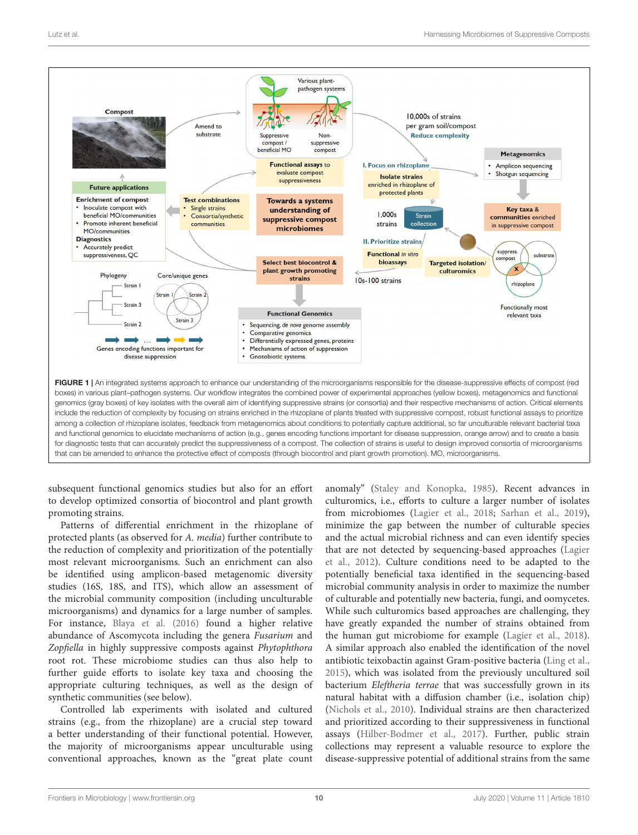

<span id="page-9-0"></span>subsequent functional genomics studies but also for an effort to develop optimized consortia of biocontrol and plant growth promoting strains.

Patterns of differential enrichment in the rhizoplane of protected plants (as observed for A. media) further contribute to the reduction of complexity and prioritization of the potentially most relevant microorganisms. Such an enrichment can also be identified using amplicon-based metagenomic diversity studies (16S, 18S, and ITS), which allow an assessment of the microbial community composition (including unculturable microorganisms) and dynamics for a large number of samples. For instance, [Blaya et al.](#page-11-10) [\(2016\)](#page-11-10) found a higher relative abundance of Ascomycota including the genera Fusarium and Zopfiella in highly suppressive composts against Phytophthora root rot. These microbiome studies can thus also help to further guide efforts to isolate key taxa and choosing the appropriate culturing techniques, as well as the design of synthetic communities (see below).

Controlled lab experiments with isolated and cultured strains (e.g., from the rhizoplane) are a crucial step toward a better understanding of their functional potential. However, the majority of microorganisms appear unculturable using conventional approaches, known as the "great plate count

anomaly" [\(Staley and Konopka,](#page-14-27) [1985\)](#page-14-27). Recent advances in culturomics, i.e., efforts to culture a larger number of isolates from microbiomes [\(Lagier et al.,](#page-13-31) [2018;](#page-13-31) [Sarhan et al.,](#page-14-28) [2019\)](#page-14-28), minimize the gap between the number of culturable species and the actual microbial richness and can even identify species that are not detected by sequencing-based approaches [\(Lagier](#page-13-32) [et al.,](#page-13-32) [2012\)](#page-13-32). Culture conditions need to be adapted to the potentially beneficial taxa identified in the sequencing-based microbial community analysis in order to maximize the number of culturable and potentially new bacteria, fungi, and oomycetes. While such culturomics based approaches are challenging, they have greatly expanded the number of strains obtained from the human gut microbiome for example [\(Lagier et al.,](#page-13-31) [2018\)](#page-13-31). A similar approach also enabled the identification of the novel antibiotic teixobactin against Gram-positive bacteria [\(Ling et al.,](#page-13-33) [2015\)](#page-13-33), which was isolated from the previously uncultured soil bacterium Eleftheria terrae that was successfully grown in its natural habitat with a diffusion chamber (i.e., isolation chip) [\(Nichols et al.,](#page-13-34) [2010\)](#page-13-34). Individual strains are then characterized and prioritized according to their suppressiveness in functional assays [\(Hilber-Bodmer et al.,](#page-12-35) [2017\)](#page-12-35). Further, public strain collections may represent a valuable resource to explore the disease-suppressive potential of additional strains from the same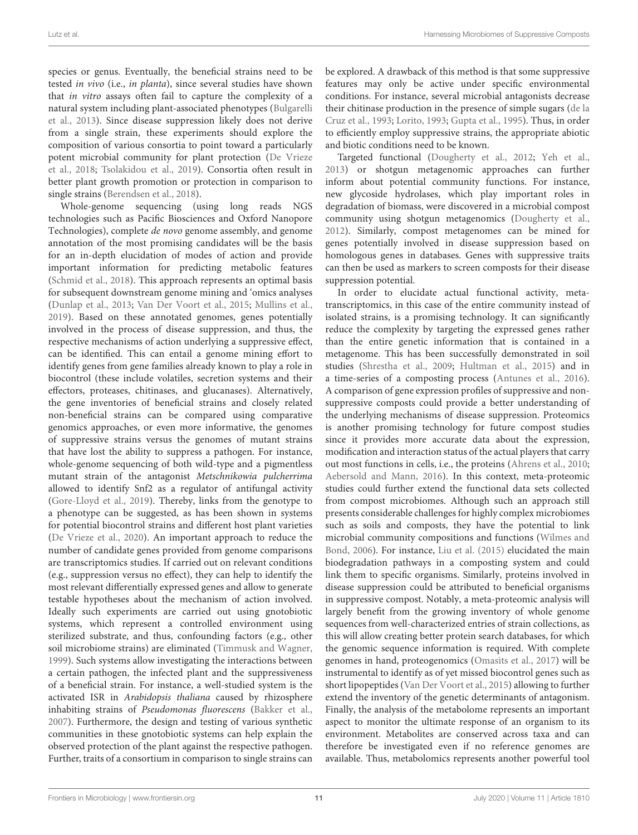species or genus. Eventually, the beneficial strains need to be tested in vivo (i.e., in planta), since several studies have shown that in vitro assays often fail to capture the complexity of a natural system including plant-associated phenotypes [\(Bulgarelli](#page-12-36) [et al.,](#page-12-36) [2013\)](#page-12-36). Since disease suppression likely does not derive from a single strain, these experiments should explore the composition of various consortia to point toward a particularly potent microbial community for plant protection [\(De Vrieze](#page-12-37) [et al.,](#page-12-37) [2018;](#page-12-37) [Tsolakidou et al.,](#page-14-15) [2019\)](#page-14-15). Consortia often result in better plant growth promotion or protection in comparison to single strains [\(Berendsen et al.,](#page-11-9) [2018\)](#page-11-9).

Whole-genome sequencing (using long reads NGS technologies such as Pacific Biosciences and Oxford Nanopore Technologies), complete de novo genome assembly, and genome annotation of the most promising candidates will be the basis for an in-depth elucidation of modes of action and provide important information for predicting metabolic features [\(Schmid et al.,](#page-14-29) [2018\)](#page-14-29). This approach represents an optimal basis for subsequent downstream genome mining and 'omics analyses [\(Dunlap et al.,](#page-12-38) [2013;](#page-12-38) [Van Der Voort et al.,](#page-14-30) [2015;](#page-14-30) [Mullins et al.,](#page-13-35) [2019\)](#page-13-35). Based on these annotated genomes, genes potentially involved in the process of disease suppression, and thus, the respective mechanisms of action underlying a suppressive effect, can be identified. This can entail a genome mining effort to identify genes from gene families already known to play a role in biocontrol (these include volatiles, secretion systems and their effectors, proteases, chitinases, and glucanases). Alternatively, the gene inventories of beneficial strains and closely related non-beneficial strains can be compared using comparative genomics approaches, or even more informative, the genomes of suppressive strains versus the genomes of mutant strains that have lost the ability to suppress a pathogen. For instance, whole-genome sequencing of both wild-type and a pigmentless mutant strain of the antagonist Metschnikowia pulcherrima allowed to identify Snf2 as a regulator of antifungal activity [\(Gore-Lloyd et al.,](#page-12-15) [2019\)](#page-12-15). Thereby, links from the genotype to a phenotype can be suggested, as has been shown in systems for potential biocontrol strains and different host plant varieties [\(De Vrieze et al.,](#page-12-14) [2020\)](#page-12-14). An important approach to reduce the number of candidate genes provided from genome comparisons are transcriptomics studies. If carried out on relevant conditions (e.g., suppression versus no effect), they can help to identify the most relevant differentially expressed genes and allow to generate testable hypotheses about the mechanism of action involved. Ideally such experiments are carried out using gnotobiotic systems, which represent a controlled environment using sterilized substrate, and thus, confounding factors (e.g., other soil microbiome strains) are eliminated [\(Timmusk and Wagner,](#page-14-31) [1999\)](#page-14-31). Such systems allow investigating the interactions between a certain pathogen, the infected plant and the suppressiveness of a beneficial strain. For instance, a well-studied system is the activated ISR in Arabidopsis thaliana caused by rhizosphere inhabiting strains of Pseudomonas fluorescens [\(Bakker et al.,](#page-11-16) [2007\)](#page-11-16). Furthermore, the design and testing of various synthetic communities in these gnotobiotic systems can help explain the observed protection of the plant against the respective pathogen. Further, traits of a consortium in comparison to single strains can

be explored. A drawback of this method is that some suppressive features may only be active under specific environmental conditions. For instance, several microbial antagonists decrease their chitinase production in the presence of simple sugars [\(de la](#page-12-39) [Cruz et al.,](#page-12-39) [1993;](#page-12-39) [Lorito,](#page-13-36) [1993;](#page-13-36) [Gupta et al.,](#page-12-40) [1995\)](#page-12-40). Thus, in order to efficiently employ suppressive strains, the appropriate abiotic and biotic conditions need to be known.

Targeted functional [\(Dougherty et al.,](#page-12-41) [2012;](#page-12-41) [Yeh et al.,](#page-14-32) [2013\)](#page-14-32) or shotgun metagenomic approaches can further inform about potential community functions. For instance, new glycoside hydrolases, which play important roles in degradation of biomass, were discovered in a microbial compost community using shotgun metagenomics [\(Dougherty et al.,](#page-12-41) [2012\)](#page-12-41). Similarly, compost metagenomes can be mined for genes potentially involved in disease suppression based on homologous genes in databases. Genes with suppressive traits can then be used as markers to screen composts for their disease suppression potential.

In order to elucidate actual functional activity, metatranscriptomics, in this case of the entire community instead of isolated strains, is a promising technology. It can significantly reduce the complexity by targeting the expressed genes rather than the entire genetic information that is contained in a metagenome. This has been successfully demonstrated in soil studies [\(Shrestha et al.,](#page-14-33) [2009;](#page-14-33) [Hultman et al.,](#page-13-37) [2015\)](#page-13-37) and in a time-series of a composting process [\(Antunes et al.,](#page-11-12) [2016\)](#page-11-12). A comparison of gene expression profiles of suppressive and nonsuppressive composts could provide a better understanding of the underlying mechanisms of disease suppression. Proteomics is another promising technology for future compost studies since it provides more accurate data about the expression, modification and interaction status of the actual players that carry out most functions in cells, i.e., the proteins [\(Ahrens et al.,](#page-11-17) [2010;](#page-11-17) [Aebersold and Mann,](#page-11-18) [2016\)](#page-11-18). In this context, meta-proteomic studies could further extend the functional data sets collected from compost microbiomes. Although such an approach still presents considerable challenges for highly complex microbiomes such as soils and composts, they have the potential to link microbial community compositions and functions [\(Wilmes and](#page-14-34) [Bond,](#page-14-34) [2006\)](#page-14-34). For instance, [Liu et al.](#page-13-38) [\(2015\)](#page-13-38) elucidated the main biodegradation pathways in a composting system and could link them to specific organisms. Similarly, proteins involved in disease suppression could be attributed to beneficial organisms in suppressive compost. Notably, a meta-proteomic analysis will largely benefit from the growing inventory of whole genome sequences from well-characterized entries of strain collections, as this will allow creating better protein search databases, for which the genomic sequence information is required. With complete genomes in hand, proteogenomics [\(Omasits et al.,](#page-13-39) [2017\)](#page-13-39) will be instrumental to identify as of yet missed biocontrol genes such as short lipopeptides [\(Van Der Voort et al.,](#page-14-30) [2015\)](#page-14-30) allowing to further extend the inventory of the genetic determinants of antagonism. Finally, the analysis of the metabolome represents an important aspect to monitor the ultimate response of an organism to its environment. Metabolites are conserved across taxa and can therefore be investigated even if no reference genomes are available. Thus, metabolomics represents another powerful tool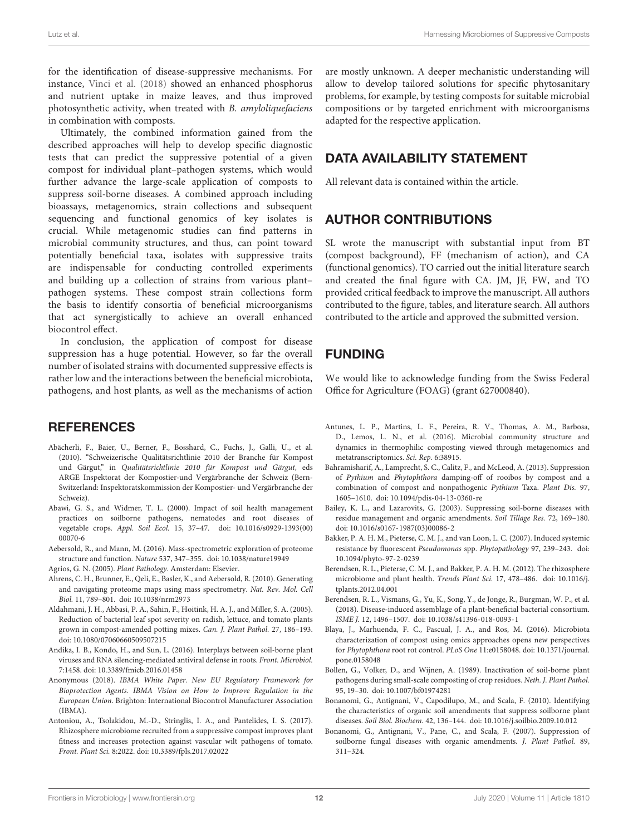for the identification of disease-suppressive mechanisms. For instance, [Vinci et al.](#page-14-35) [\(2018\)](#page-14-35) showed an enhanced phosphorus and nutrient uptake in maize leaves, and thus improved photosynthetic activity, when treated with B. amyloliquefaciens in combination with composts.

Ultimately, the combined information gained from the described approaches will help to develop specific diagnostic tests that can predict the suppressive potential of a given compost for individual plant–pathogen systems, which would further advance the large-scale application of composts to suppress soil-borne diseases. A combined approach including bioassays, metagenomics, strain collections and subsequent sequencing and functional genomics of key isolates is crucial. While metagenomic studies can find patterns in microbial community structures, and thus, can point toward potentially beneficial taxa, isolates with suppressive traits are indispensable for conducting controlled experiments and building up a collection of strains from various plant– pathogen systems. These compost strain collections form the basis to identify consortia of beneficial microorganisms that act synergistically to achieve an overall enhanced biocontrol effect.

In conclusion, the application of compost for disease suppression has a huge potential. However, so far the overall number of isolated strains with documented suppressive effects is rather low and the interactions between the beneficial microbiota, pathogens, and host plants, as well as the mechanisms of action

### **REFERENCES**

- <span id="page-11-7"></span>Abächerli, F., Baier, U., Berner, F., Bosshard, C., Fuchs, J., Galli, U., et al. (2010). "Schweizerische Qualitätsrichtlinie 2010 der Branche für Kompost und Gärgut," in Qualitätsrichtlinie 2010 für Kompost und Gärgut, eds ARGE Inspektorat der Kompostier-und Vergärbranche der Schweiz (Bern-Switzerland: Inspektoratskommission der Kompostier- und Vergärbranche der Schweiz).
- <span id="page-11-2"></span>Abawi, G. S., and Widmer, T. L. (2000). Impact of soil health management practices on soilborne pathogens, nematodes and root diseases of vegetable crops. Appl. Soil Ecol. 15, 37–47. [doi: 10.1016/s0929-1393\(00\)](https://doi.org/10.1016/s0929-1393(00)00070-6) [00070-6](https://doi.org/10.1016/s0929-1393(00)00070-6)
- <span id="page-11-18"></span>Aebersold, R., and Mann, M. (2016). Mass-spectrometric exploration of proteome structure and function. Nature 537, 347–355. [doi: 10.1038/nature19949](https://doi.org/10.1038/nature19949)
- <span id="page-11-0"></span>Agrios, G. N. (2005). Plant Pathology. Amsterdam: Elsevier.
- <span id="page-11-17"></span>Ahrens, C. H., Brunner, E., Qeli, E., Basler, K., and Aebersold, R. (2010). Generating and navigating proteome maps using mass spectrometry. Nat. Rev. Mol. Cell Biol. 11, 789–801. [doi: 10.1038/nrm2973](https://doi.org/10.1038/nrm2973)
- <span id="page-11-11"></span>Aldahmani, J. H., Abbasi, P. A., Sahin, F., Hoitink, H. A. J., and Miller, S. A. (2005). Reduction of bacterial leaf spot severity on radish, lettuce, and tomato plants grown in compost-amended potting mixes. Can. J. Plant Pathol. 27, 186–193. [doi: 10.1080/07060660509507215](https://doi.org/10.1080/07060660509507215)
- <span id="page-11-1"></span>Andika, I. B., Kondo, H., and Sun, L. (2016). Interplays between soil-borne plant viruses and RNA silencing-mediated antiviral defense in roots. Front. Microbiol. 7:1458. [doi: 10.3389/fmicb.2016.01458](https://doi.org/10.3389/fmicb.2016.01458)
- <span id="page-11-15"></span>Anonymous (2018). IBMA White Paper. New EU Regulatory Framework for Bioprotection Agents. IBMA Vision on How to Improve Regulation in the European Union. Brighton: International Biocontrol Manufacturer Association (IBMA).
- <span id="page-11-13"></span>Antoniou, A., Tsolakidou, M.-D., Stringlis, I. A., and Pantelides, I. S. (2017). Rhizosphere microbiome recruited from a suppressive compost improves plant fitness and increases protection against vascular wilt pathogens of tomato. Front. Plant Sci. 8:2022. [doi: 10.3389/fpls.2017.02022](https://doi.org/10.3389/fpls.2017.02022)

are mostly unknown. A deeper mechanistic understanding will allow to develop tailored solutions for specific phytosanitary problems, for example, by testing composts for suitable microbial compositions or by targeted enrichment with microorganisms adapted for the respective application.

## DATA AVAILABILITY STATEMENT

All relevant data is contained within the article.

## AUTHOR CONTRIBUTIONS

SL wrote the manuscript with substantial input from BT (compost background), FF (mechanism of action), and CA (functional genomics). TO carried out the initial literature search and created the final figure with CA. JM, JF, FW, and TO provided critical feedback to improve the manuscript. All authors contributed to the figure, tables, and literature search. All authors contributed to the article and approved the submitted version.

## FUNDING

We would like to acknowledge funding from the Swiss Federal Office for Agriculture (FOAG) (grant 627000840).

- <span id="page-11-12"></span>Antunes, L. P., Martins, L. F., Pereira, R. V., Thomas, A. M., Barbosa, D., Lemos, L. N., et al. (2016). Microbial community structure and dynamics in thermophilic composting viewed through metagenomics and metatranscriptomics. Sci. Rep. 6:38915.
- <span id="page-11-14"></span>Bahramisharif, A., Lamprecht, S. C., Calitz, F., and McLeod, A. (2013). Suppression of Pythium and Phytophthora damping-off of rooibos by compost and a combination of compost and nonpathogenic Pythium Taxa. Plant Dis. 97, 1605–1610. [doi: 10.1094/pdis-04-13-0360-re](https://doi.org/10.1094/pdis-04-13-0360-re)
- <span id="page-11-3"></span>Bailey, K. L., and Lazarovits, G. (2003). Suppressing soil-borne diseases with residue management and organic amendments. Soil Tillage Res. 72, 169–180. [doi: 10.1016/s0167-1987\(03\)00086-2](https://doi.org/10.1016/s0167-1987(03)00086-2)
- <span id="page-11-16"></span>Bakker, P. A. H. M., Pieterse, C. M. J., and van Loon, L. C. (2007). Induced systemic resistance by fluorescent Pseudomonas spp. Phytopathology 97, 239–243. [doi:](https://doi.org/10.1094/phyto-97-2-0239) [10.1094/phyto-97-2-0239](https://doi.org/10.1094/phyto-97-2-0239)
- <span id="page-11-8"></span>Berendsen, R. L., Pieterse, C. M. J., and Bakker, P. A. H. M. (2012). The rhizosphere microbiome and plant health. Trends Plant Sci. 17, 478–486. [doi: 10.1016/j.](https://doi.org/10.1016/j.tplants.2012.04.001) [tplants.2012.04.001](https://doi.org/10.1016/j.tplants.2012.04.001)
- <span id="page-11-9"></span>Berendsen, R. L., Vismans, G., Yu, K., Song, Y., de Jonge, R., Burgman, W. P., et al. (2018). Disease-induced assemblage of a plant-beneficial bacterial consortium. ISME J. 12, 1496–1507. [doi: 10.1038/s41396-018-0093-1](https://doi.org/10.1038/s41396-018-0093-1)
- <span id="page-11-10"></span>Blaya, J., Marhuenda, F. C., Pascual, J. A., and Ros, M. (2016). Microbiota characterization of compost using omics approaches opens new perspectives for Phytophthora root rot control. PLoS One 11:e0158048. [doi: 10.1371/journal.](https://doi.org/10.1371/journal.pone.0158048) [pone.0158048](https://doi.org/10.1371/journal.pone.0158048)
- <span id="page-11-6"></span>Bollen, G., Volker, D., and Wijnen, A. (1989). Inactivation of soil-borne plant pathogens during small-scale composting of crop residues. Neth. J. Plant Pathol. 95, 19–30. [doi: 10.1007/bf01974281](https://doi.org/10.1007/bf01974281)
- <span id="page-11-4"></span>Bonanomi, G., Antignani, V., Capodilupo, M., and Scala, F. (2010). Identifying the characteristics of organic soil amendments that suppress soilborne plant diseases. Soil Biol. Biochem. 42, 136–144. [doi: 10.1016/j.soilbio.2009.10.012](https://doi.org/10.1016/j.soilbio.2009.10.012)
- <span id="page-11-5"></span>Bonanomi, G., Antignani, V., Pane, C., and Scala, F. (2007). Suppression of soilborne fungal diseases with organic amendments. J. Plant Pathol. 89, 311–324.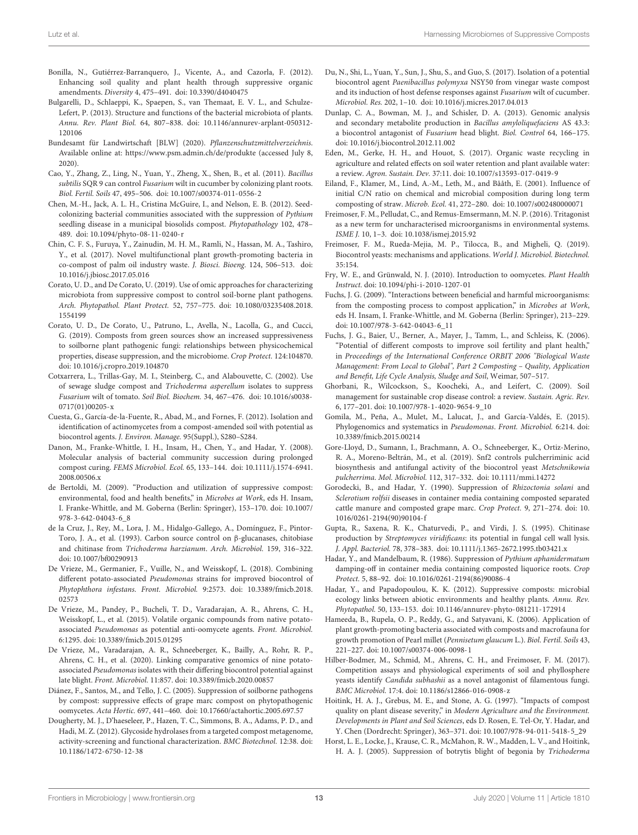- <span id="page-12-20"></span>Bonilla, N., Gutiérrez-Barranquero, J., Vicente, A., and Cazorla, F. (2012). Enhancing soil quality and plant health through suppressive organic amendments. Diversity 4, 475–491. [doi: 10.3390/d4040475](https://doi.org/10.3390/d4040475)
- <span id="page-12-36"></span>Bulgarelli, D., Schlaeppi, K., Spaepen, S., van Themaat, E. V. L., and Schulze-Lefert, P. (2013). Structure and functions of the bacterial microbiota of plants. Annu. Rev. Plant Biol. 64, 807–838. [doi: 10.1146/annurev-arplant-050312-](https://doi.org/10.1146/annurev-arplant-050312-120106) [120106](https://doi.org/10.1146/annurev-arplant-050312-120106)
- <span id="page-12-16"></span>Bundesamt für Landwirtschaft [BLW] (2020). Pflanzenschutzmittelverzeichnis. Available online at: <https://www.psm.admin.ch/de/produkte> (accessed July 8, 2020).
- <span id="page-12-12"></span>Cao, Y., Zhang, Z., Ling, N., Yuan, Y., Zheng, X., Shen, B., et al. (2011). Bacillus subtilis SQR 9 can control Fusarium wilt in cucumber by colonizing plant roots. Biol. Fertil. Soils 47, 495–506. [doi: 10.1007/s00374-011-0556-2](https://doi.org/10.1007/s00374-011-0556-2)
- <span id="page-12-25"></span>Chen, M.-H., Jack, A. L. H., Cristina McGuire, I., and Nelson, E. B. (2012). Seedcolonizing bacterial communities associated with the suppression of Pythium seedling disease in a municipal biosolids compost. Phytopathology 102, 478– 489. [doi: 10.1094/phyto-08-11-0240-r](https://doi.org/10.1094/phyto-08-11-0240-r)
- <span id="page-12-27"></span>Chin, C. F. S., Furuya, Y., Zainudin, M. H. M., Ramli, N., Hassan, M. A., Tashiro, Y., et al. (2017). Novel multifunctional plant growth-promoting bacteria in co-compost of palm oil industry waste. J. Biosci. Bioeng. 124, 506–513. [doi:](https://doi.org/10.1016/j.jbiosc.2017.05.016) [10.1016/j.jbiosc.2017.05.016](https://doi.org/10.1016/j.jbiosc.2017.05.016)
- <span id="page-12-23"></span>Corato, U. D., and De Corato, U. (2019). Use of omic approaches for characterizing microbiota from suppressive compost to control soil-borne plant pathogens. Arch. Phytopathol. Plant Protect. 52, 757–775. [doi: 10.1080/03235408.2018.](https://doi.org/10.1080/03235408.2018.1554199) [1554199](https://doi.org/10.1080/03235408.2018.1554199)
- <span id="page-12-24"></span>Corato, U. D., De Corato, U., Patruno, L., Avella, N., Lacolla, G., and Cucci, G. (2019). Composts from green sources show an increased suppressiveness to soilborne plant pathogenic fungi: relationships between physicochemical properties, disease suppression, and the microbiome. Crop Protect. 124:104870. [doi: 10.1016/j.cropro.2019.104870](https://doi.org/10.1016/j.cropro.2019.104870)
- <span id="page-12-11"></span>Cotxarrera, L., Trillas-Gay, M. I., Steinberg, C., and Alabouvette, C. (2002). Use of sewage sludge compost and Trichoderma asperellum isolates to suppress Fusarium wilt of tomato. Soil Biol. Biochem. 34, 467–476. [doi: 10.1016/s0038-](https://doi.org/10.1016/s0038-0717(01)00205-x) [0717\(01\)00205-x](https://doi.org/10.1016/s0038-0717(01)00205-x)
- <span id="page-12-29"></span>Cuesta, G., García-de-la-Fuente, R., Abad, M., and Fornes, F. (2012). Isolation and identification of actinomycetes from a compost-amended soil with potential as biocontrol agents. J. Environ. Manage. 95(Suppl.), S280–S284.
- <span id="page-12-6"></span>Danon, M., Franke-Whittle, I. H., Insam, H., Chen, Y., and Hadar, Y. (2008). Molecular analysis of bacterial community succession during prolonged compost curing. FEMS Microbiol. Ecol. 65, 133–144. [doi: 10.1111/j.1574-6941.](https://doi.org/10.1111/j.1574-6941.2008.00506.x) [2008.00506.x](https://doi.org/10.1111/j.1574-6941.2008.00506.x)
- <span id="page-12-8"></span>de Bertoldi, M. (2009). "Production and utilization of suppressive compost: environmental, food and health benefits," in Microbes at Work, eds H. Insam, I. Franke-Whittle, and M. Goberna (Berlin: Springer), 153–170. [doi: 10.1007/](https://doi.org/10.1007/978-3-642-04043-6_8) [978-3-642-04043-6\\_8](https://doi.org/10.1007/978-3-642-04043-6_8)
- <span id="page-12-39"></span>de la Cruz, J., Rey, M., Lora, J. M., Hidalgo-Gallego, A., Domínguez, F., Pintor-Toro, J. A., et al. (1993). Carbon source control on β-glucanases, chitobiase and chitinase from Trichoderma harzianum. Arch. Microbiol. 159, 316–322. [doi: 10.1007/bf00290913](https://doi.org/10.1007/bf00290913)
- <span id="page-12-37"></span>De Vrieze, M., Germanier, F., Vuille, N., and Weisskopf, L. (2018). Combining different potato-associated Pseudomonas strains for improved biocontrol of Phytophthora infestans. Front. Microbiol. 9:2573. [doi: 10.3389/fmicb.2018.](https://doi.org/10.3389/fmicb.2018.02573) [02573](https://doi.org/10.3389/fmicb.2018.02573)
- <span id="page-12-13"></span>De Vrieze, M., Pandey, P., Bucheli, T. D., Varadarajan, A. R., Ahrens, C. H., Weisskopf, L., et al. (2015). Volatile organic compounds from native potatoassociated Pseudomonas as potential anti-oomycete agents. Front. Microbiol. 6:1295. [doi: 10.3389/fmicb.2015.01295](https://doi.org/10.3389/fmicb.2015.01295)
- <span id="page-12-14"></span>De Vrieze, M., Varadarajan, A. R., Schneeberger, K., Bailly, A., Rohr, R. P., Ahrens, C. H., et al. (2020). Linking comparative genomics of nine potatoassociated Pseudomonas isolates with their differing biocontrol potential against late blight. Front. Microbiol. 11:857. [doi: 10.3389/fmicb.2020.00857](https://doi.org/10.3389/fmicb.2020.00857)
- <span id="page-12-19"></span>Diánez, F., Santos, M., and Tello, J. C. (2005). Suppression of soilborne pathogens by compost: suppressive effects of grape marc compost on phytopathogenic oomycetes. Acta Hortic. 697, 441–460. [doi: 10.17660/actahortic.2005.697.57](https://doi.org/10.17660/actahortic.2005.697.57)
- <span id="page-12-41"></span>Dougherty, M. J., D'haeseleer, P., Hazen, T. C., Simmons, B. A., Adams, P. D., and Hadi, M. Z. (2012). Glycoside hydrolases from a targeted compost metagenome, activity-screening and functional characterization. BMC Biotechnol. 12:38. [doi:](https://doi.org/10.1186/1472-6750-12-38) [10.1186/1472-6750-12-38](https://doi.org/10.1186/1472-6750-12-38)
- <span id="page-12-33"></span><span id="page-12-32"></span><span id="page-12-31"></span><span id="page-12-28"></span>Du, N., Shi, L., Yuan, Y., Sun, J., Shu, S., and Guo, S. (2017). Isolation of a potential biocontrol agent Paenibacillus polymyxa NSY50 from vinegar waste compost and its induction of host defense responses against Fusarium wilt of cucumber. Microbiol. Res. 202, 1–10. [doi: 10.1016/j.micres.2017.04.013](https://doi.org/10.1016/j.micres.2017.04.013)
- <span id="page-12-38"></span>Dunlap, C. A., Bowman, M. J., and Schisler, D. A. (2013). Genomic analysis and secondary metabolite production in Bacillus amyloliquefaciens AS 43.3: a biocontrol antagonist of Fusarium head blight. Biol. Control 64, 166–175. [doi: 10.1016/j.biocontrol.2012.11.002](https://doi.org/10.1016/j.biocontrol.2012.11.002)
- <span id="page-12-2"></span>Eden, M., Gerke, H. H., and Houot, S. (2017). Organic waste recycling in agriculture and related effects on soil water retention and plant available water: a review. Agron. Sustain. Dev. 37:11. [doi: 10.1007/s13593-017-0419-9](https://doi.org/10.1007/s13593-017-0419-9)
- <span id="page-12-7"></span>Eiland, F., Klamer, M., Lind, A.-M., Leth, M., and Bååth, E. (2001). Influence of initial C/N ratio on chemical and microbial composition during long term composting of straw. Microb. Ecol. 41, 272–280. [doi: 10.1007/s002480000071](https://doi.org/10.1007/s002480000071)
- <span id="page-12-34"></span>Freimoser, F. M., Pelludat, C., and Remus-Emsermann, M. N. P. (2016). Tritagonist as a new term for uncharacterised microorganisms in environmental systems. ISME J. 10, 1–3. [doi: 10.1038/ismej.2015.92](https://doi.org/10.1038/ismej.2015.92)
- <span id="page-12-17"></span>Freimoser, F. M., Rueda-Mejia, M. P., Tilocca, B., and Migheli, Q. (2019). Biocontrol yeasts: mechanisms and applications. World J. Microbiol. Biotechnol. 35:154.
- <span id="page-12-0"></span>Fry, W. E., and Grünwald, N. J. (2010). Introduction to oomycetes. Plant Health Instruct. [doi: 10.1094/phi-i-2010-1207-01](https://doi.org/10.1094/phi-i-2010-1207-01)
- <span id="page-12-30"></span><span id="page-12-3"></span>Fuchs, J. G. (2009). "Interactions between beneficial and harmful microorganisms: from the composting process to compost application," in Microbes at Work, eds H. Insam, I. Franke-Whittle, and M. Goberna (Berlin: Springer), 213–229. [doi: 10.1007/978-3-642-04043-6\\_11](https://doi.org/10.1007/978-3-642-04043-6_11)
- <span id="page-12-5"></span>Fuchs, J. G., Baier, U., Berner, A., Mayer, J., Tamm, L., and Schleiss, K. (2006). "Potential of different composts to improve soil fertility and plant health," in Proceedings of the International Conference ORBIT 2006 "Biological Waste Management: From Local to Global", Part 2 Composting – Quality, Application and Benefit, Life Cycle Analysis, Sludge and Soil, Weimar, 507–517.
- <span id="page-12-1"></span>Ghorbani, R., Wilcockson, S., Koocheki, A., and Leifert, C. (2009). Soil management for sustainable crop disease control: a review. Sustain. Agric. Rev. 6, 177–201. [doi: 10.1007/978-1-4020-9654-9\\_10](https://doi.org/10.1007/978-1-4020-9654-9_10)
- <span id="page-12-26"></span>Gomila, M., Peña, A., Mulet, M., Lalucat, J., and García-Valdés, E. (2015). Phylogenomics and systematics in Pseudomonas. Front. Microbiol. 6:214. [doi:](https://doi.org/10.3389/fmicb.2015.00214) [10.3389/fmicb.2015.00214](https://doi.org/10.3389/fmicb.2015.00214)
- <span id="page-12-15"></span>Gore-Lloyd, D., Sumann, I., Brachmann, A. O., Schneeberger, K., Ortiz-Merino, R. A., Moreno-Beltrán, M., et al. (2019). Snf2 controls pulcherriminic acid biosynthesis and antifungal activity of the biocontrol yeast Metschnikowia pulcherrima. Mol. Microbiol. 112, 317–332. [doi: 10.1111/mmi.14272](https://doi.org/10.1111/mmi.14272)
- <span id="page-12-9"></span>Gorodecki, B., and Hadar, Y. (1990). Suppression of Rhizoctonia solani and Sclerotium rolfsii diseases in container media containing composted separated cattle manure and composted grape marc. Crop Protect. 9, 271–274. [doi: 10.](https://doi.org/10.1016/0261-2194(90)90104-f) [1016/0261-2194\(90\)90104-f](https://doi.org/10.1016/0261-2194(90)90104-f)
- <span id="page-12-40"></span>Gupta, R., Saxena, R. K., Chaturvedi, P., and Virdi, J. S. (1995). Chitinase production by Streptomyces viridificans: its potential in fungal cell wall lysis. J. Appl. Bacteriol. 78, 378–383. [doi: 10.1111/j.1365-2672.1995.tb03421.x](https://doi.org/10.1111/j.1365-2672.1995.tb03421.x)
- <span id="page-12-18"></span>Hadar, Y., and Mandelbaum, R. (1986). Suppression of Pythium aphanidermatum damping-off in container media containing composted liquorice roots. Crop Protect. 5, 88–92. [doi: 10.1016/0261-2194\(86\)90086-4](https://doi.org/10.1016/0261-2194(86)90086-4)
- <span id="page-12-4"></span>Hadar, Y., and Papadopoulou, K. K. (2012). Suppressive composts: microbial ecology links between abiotic environments and healthy plants. Annu. Rev. Phytopathol. 50, 133–153. [doi: 10.1146/annurev-phyto-081211-172914](https://doi.org/10.1146/annurev-phyto-081211-172914)
- <span id="page-12-22"></span>Hameeda, B., Rupela, O. P., Reddy, G., and Satyavani, K. (2006). Application of plant growth-promoting bacteria associated with composts and macrofauna for growth promotion of Pearl millet (Pennisetum glaucum L.). Biol. Fertil. Soils 43, 221–227. [doi: 10.1007/s00374-006-0098-1](https://doi.org/10.1007/s00374-006-0098-1)
- <span id="page-12-35"></span>Hilber-Bodmer, M., Schmid, M., Ahrens, C. H., and Freimoser, F. M. (2017). Competition assays and physiological experiments of soil and phyllosphere yeasts identify Candida subhashii as a novel antagonist of filamentous fungi. BMC Microbiol. 17:4. [doi: 10.1186/s12866-016-0908-z](https://doi.org/10.1186/s12866-016-0908-z)
- <span id="page-12-10"></span>Hoitink, H. A. J., Grebus, M. E., and Stone, A. G. (1997). "Impacts of compost quality on plant disease severity," in Modern Agriculture and the Environment. Developments in Plant and Soil Sciences, eds D. Rosen, E. Tel-Or, Y. Hadar, and Y. Chen (Dordrecht: Springer), 363–371. [doi: 10.1007/978-94-011-5418-5\\_29](https://doi.org/10.1007/978-94-011-5418-5_29)
- <span id="page-12-21"></span>Horst, L. E., Locke, J., Krause, C. R., McMahon, R. W., Madden, L. V., and Hoitink, H. A. J. (2005). Suppression of botrytis blight of begonia by Trichoderma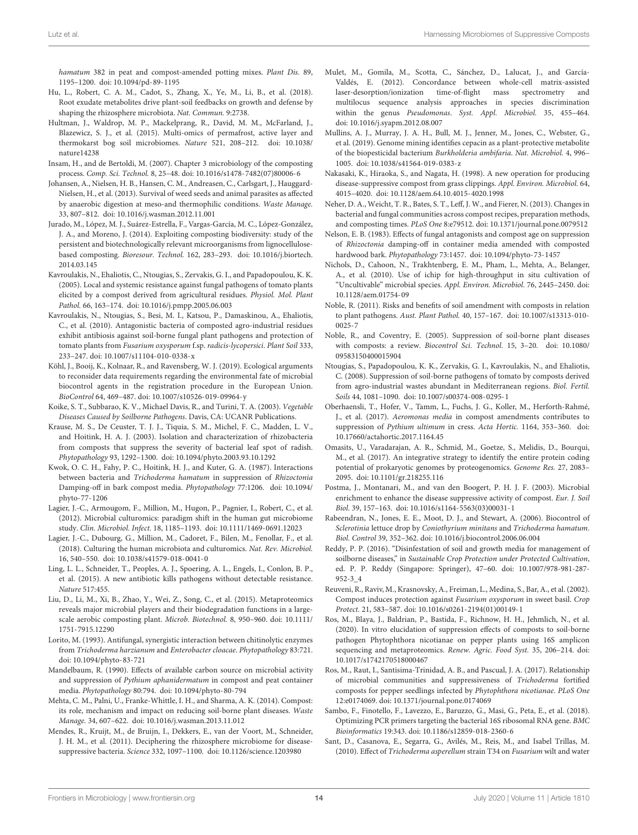hamatum 382 in peat and compost-amended potting mixes. Plant Dis. 89, 1195–1200. [doi: 10.1094/pd-89-1195](https://doi.org/10.1094/pd-89-1195)

- <span id="page-13-30"></span>Hu, L., Robert, C. A. M., Cadot, S., Zhang, X., Ye, M., Li, B., et al. (2018). Root exudate metabolites drive plant-soil feedbacks on growth and defense by shaping the rhizosphere microbiota. Nat. Commun. 9:2738.
- <span id="page-13-37"></span>Hultman, J., Waldrop, M. P., Mackelprang, R., David, M. M., McFarland, J., Blazewicz, S. J., et al. (2015). Multi-omics of permafrost, active layer and thermokarst bog soil microbiomes. Nature 521, 208–212. [doi: 10.1038/](https://doi.org/10.1038/nature14238) [nature14238](https://doi.org/10.1038/nature14238)
- <span id="page-13-6"></span>Insam, H., and de Bertoldi, M. (2007). Chapter 3 microbiology of the composting process. Comp. Sci. Technol. 8, 25–48. [doi: 10.1016/s1478-7482\(07\)80006-6](https://doi.org/10.1016/s1478-7482(07)80006-6)
- <span id="page-13-5"></span>Johansen, A., Nielsen, H. B., Hansen, C. M., Andreasen, C., Carlsgart, J., Hauggard-Nielsen, H., et al. (2013). Survival of weed seeds and animal parasites as affected by anaerobic digestion at meso-and thermophilic conditions. Waste Manage. 33, 807–812. [doi: 10.1016/j.wasman.2012.11.001](https://doi.org/10.1016/j.wasman.2012.11.001)
- <span id="page-13-28"></span>Jurado, M., López, M. J., Suárez-Estrella, F., Vargas-García, M. C., López-González, J. A., and Moreno, J. (2014). Exploiting composting biodiversity: study of the persistent and biotechnologically relevant microorganisms from lignocellulosebased composting. Bioresour. Technol. 162, 283–293. [doi: 10.1016/j.biortech.](https://doi.org/10.1016/j.biortech.2014.03.145) [2014.03.145](https://doi.org/10.1016/j.biortech.2014.03.145)
- <span id="page-13-13"></span>Kavroulakis, N., Ehaliotis, C., Ntougias, S., Zervakis, G. I., and Papadopoulou, K. K. (2005). Local and systemic resistance against fungal pathogens of tomato plants elicited by a compost derived from agricultural residues. Physiol. Mol. Plant Pathol. 66, 163–174. [doi: 10.1016/j.pmpp.2005.06.003](https://doi.org/10.1016/j.pmpp.2005.06.003)
- Kavroulakis, N., Ntougias, S., Besi, M. I., Katsou, P., Damaskinou, A., Ehaliotis, C., et al. (2010). Antagonistic bacteria of composted agro-industrial residues exhibit antibiosis against soil-borne fungal plant pathogens and protection of tomato plants from Fusarium oxysporum f.sp. radicis-lycopersici. Plant Soil 333, 233–247. [doi: 10.1007/s11104-010-0338-x](https://doi.org/10.1007/s11104-010-0338-x)
- <span id="page-13-29"></span>Köhl, J., Booij, K., Kolnaar, R., and Ravensberg, W. J. (2019). Ecological arguments to reconsider data requirements regarding the environmental fate of microbial biocontrol agents in the registration procedure in the European Union. BioControl 64, 469–487. [doi: 10.1007/s10526-019-09964-y](https://doi.org/10.1007/s10526-019-09964-y)
- <span id="page-13-0"></span>Koike, S. T., Subbarao, K. V., Michael Davis, R., and Turini, T. A. (2003). Vegetable Diseases Caused by Soilborne Pathogens. Davis, CA: UCANR Publications.
- <span id="page-13-12"></span>Krause, M. S., De Ceuster, T. J. J., Tiquia, S. M., Michel, F. C., Madden, L. V., and Hoitink, H. A. J. (2003). Isolation and characterization of rhizobacteria from composts that suppress the severity of bacterial leaf spot of radish. Phytopathology 93, 1292–1300. [doi: 10.1094/phyto.2003.93.10.1292](https://doi.org/10.1094/phyto.2003.93.10.1292)
- <span id="page-13-11"></span>Kwok, O. C. H., Fahy, P. C., Hoitink, H. J., and Kuter, G. A. (1987). Interactions between bacteria and Trichoderma hamatum in suppression of Rhizoctonia Damping-off in bark compost media. Phytopathology 77:1206. [doi: 10.1094/](https://doi.org/10.1094/phyto-77-1206) [phyto-77-1206](https://doi.org/10.1094/phyto-77-1206)
- <span id="page-13-32"></span>Lagier, J.-C., Armougom, F., Million, M., Hugon, P., Pagnier, I., Robert, C., et al. (2012). Microbial culturomics: paradigm shift in the human gut microbiome study. Clin. Microbiol. Infect. 18, 1185–1193. [doi: 10.1111/1469-0691.12023](https://doi.org/10.1111/1469-0691.12023)
- <span id="page-13-31"></span>Lagier, J.-C., Dubourg, G., Million, M., Cadoret, F., Bilen, M., Fenollar, F., et al. (2018). Culturing the human microbiota and culturomics. Nat. Rev. Microbiol. 16, 540–550. [doi: 10.1038/s41579-018-0041-0](https://doi.org/10.1038/s41579-018-0041-0)
- <span id="page-13-33"></span>Ling, L. L., Schneider, T., Peoples, A. J., Spoering, A. L., Engels, I., Conlon, B. P., et al. (2015). A new antibiotic kills pathogens without detectable resistance. Nature 517:455.
- <span id="page-13-38"></span>Liu, D., Li, M., Xi, B., Zhao, Y., Wei, Z., Song, C., et al. (2015). Metaproteomics reveals major microbial players and their biodegradation functions in a largescale aerobic composting plant. Microb. Biotechnol. 8, 950–960. [doi: 10.1111/](https://doi.org/10.1111/1751-7915.12290) [1751-7915.12290](https://doi.org/10.1111/1751-7915.12290)
- <span id="page-13-36"></span>Lorito, M. (1993). Antifungal, synergistic interaction between chitinolytic enzymes from Trichoderma harzianum and Enterobacter cloacae. Phytopathology 83:721. [doi: 10.1094/phyto-83-721](https://doi.org/10.1094/phyto-83-721)
- <span id="page-13-9"></span>Mandelbaum, R. (1990). Effects of available carbon source on microbial activity and suppression of Pythium aphanidermatum in compost and peat container media. Phytopathology 80:794. [doi: 10.1094/phyto-80-794](https://doi.org/10.1094/phyto-80-794)
- <span id="page-13-4"></span>Mehta, C. M., Palni, U., Franke-Whittle, I. H., and Sharma, A. K. (2014). Compost: its role, mechanism and impact on reducing soil-borne plant diseases. Waste Manage. 34, 607–622. [doi: 10.1016/j.wasman.2013.11.012](https://doi.org/10.1016/j.wasman.2013.11.012)
- <span id="page-13-8"></span>Mendes, R., Kruijt, M., de Bruijn, I., Dekkers, E., van der Voort, M., Schneider, J. H. M., et al. (2011). Deciphering the rhizosphere microbiome for diseasesuppressive bacteria. Science 332, 1097–1100. [doi: 10.1126/science.1203980](https://doi.org/10.1126/science.1203980)
- <span id="page-13-26"></span><span id="page-13-25"></span><span id="page-13-19"></span>Mulet, M., Gomila, M., Scotta, C., Sánchez, D., Lalucat, J., and García-Valdés, E. (2012). Concordance between whole-cell matrix-assisted laser-desorption/ionization time-of-flight mass spectrometry and multilocus sequence analysis approaches in species discrimination within the genus Pseudomonas. Syst. Appl. Microbiol. 35, 455–464. [doi: 10.1016/j.syapm.2012.08.007](https://doi.org/10.1016/j.syapm.2012.08.007)
- <span id="page-13-35"></span>Mullins, A. J., Murray, J. A. H., Bull, M. J., Jenner, M., Jones, C., Webster, G., et al. (2019). Genome mining identifies cepacin as a plant-protective metabolite of the biopesticidal bacterium Burkholderia ambifaria. Nat. Microbiol. 4, 996– 1005. [doi: 10.1038/s41564-019-0383-z](https://doi.org/10.1038/s41564-019-0383-z)
- <span id="page-13-21"></span>Nakasaki, K., Hiraoka, S., and Nagata, H. (1998). A new operation for producing disease-suppressive compost from grass clippings. Appl. Environ. Microbiol. 64, 4015–4020. [doi: 10.1128/aem.64.10.4015-4020.1998](https://doi.org/10.1128/aem.64.10.4015-4020.1998)
- <span id="page-13-18"></span>Neher, D. A., Weicht, T. R., Bates, S. T., Leff, J. W., and Fierer, N. (2013). Changes in bacterial and fungal communities across compost recipes, preparation methods, and composting times. PLoS One 8:e79512. [doi: 10.1371/journal.pone.0079512](https://doi.org/10.1371/journal.pone.0079512)
- <span id="page-13-10"></span>Nelson, E. B. (1983). Effects of fungal antagonists and compost age on suppression of Rhizoctonia damping-off in container media amended with composted hardwood bark. Phytopathology 73:1457. [doi: 10.1094/phyto-73-1457](https://doi.org/10.1094/phyto-73-1457)
- <span id="page-13-34"></span>Nichols, D., Cahoon, N., Trakhtenberg, E. M., Pham, L., Mehta, A., Belanger, A., et al. (2010). Use of ichip for high-throughput in situ cultivation of "Uncultivable" microbial species. Appl. Environ. Microbiol. 76, 2445–2450. [doi:](https://doi.org/10.1128/aem.01754-09) [10.1128/aem.01754-09](https://doi.org/10.1128/aem.01754-09)
- <span id="page-13-24"></span><span id="page-13-3"></span>Noble, R. (2011). Risks and benefits of soil amendment with composts in relation to plant pathogens. Aust. Plant Pathol. 40, 157–167. [doi: 10.1007/s13313-010-](https://doi.org/10.1007/s13313-010-0025-7) [0025-7](https://doi.org/10.1007/s13313-010-0025-7)
- <span id="page-13-1"></span>Noble, R., and Coventry, E. (2005). Suppression of soil-borne plant diseases with composts: a review. Biocontrol Sci. Technol. 15, 3–20. [doi: 10.1080/](https://doi.org/10.1080/09583150400015904) [09583150400015904](https://doi.org/10.1080/09583150400015904)
- <span id="page-13-14"></span>Ntougias, S., Papadopoulou, K. K., Zervakis, G. I., Kavroulakis, N., and Ehaliotis, C. (2008). Suppression of soil-borne pathogens of tomato by composts derived from agro-industrial wastes abundant in Mediterranean regions. Biol. Fertil. Soils 44, 1081–1090. [doi: 10.1007/s00374-008-0295-1](https://doi.org/10.1007/s00374-008-0295-1)
- <span id="page-13-20"></span>Oberhaensli, T., Hofer, V., Tamm, L., Fuchs, J. G., Koller, M., Herforth-Rahmé, J., et al. (2017). Aeromonas media in compost amendments contributes to suppression of Pythium ultimum in cress. Acta Hortic. 1164, 353–360. [doi:](https://doi.org/10.17660/actahortic.2017.1164.45) [10.17660/actahortic.2017.1164.45](https://doi.org/10.17660/actahortic.2017.1164.45)
- <span id="page-13-39"></span>Omasits, U., Varadarajan, A. R., Schmid, M., Goetze, S., Melidis, D., Bourqui, M., et al. (2017). An integrative strategy to identify the entire protein coding potential of prokaryotic genomes by proteogenomics. Genome Res. 27, 2083– 2095. [doi: 10.1101/gr.218255.116](https://doi.org/10.1101/gr.218255.116)
- <span id="page-13-22"></span>Postma, J., Montanari, M., and van den Boogert, P. H. J. F. (2003). Microbial enrichment to enhance the disease suppressive activity of compost. Eur. J. Soil Biol. 39, 157–163. [doi: 10.1016/s1164-5563\(03\)00031-1](https://doi.org/10.1016/s1164-5563(03)00031-1)
- <span id="page-13-27"></span>Rabeendran, N., Jones, E. E., Moot, D. J., and Stewart, A. (2006). Biocontrol of Sclerotinia lettuce drop by Coniothyrium minitans and Trichoderma hamatum. Biol. Control 39, 352–362. [doi: 10.1016/j.biocontrol.2006.06.004](https://doi.org/10.1016/j.biocontrol.2006.06.004)
- <span id="page-13-2"></span>Reddy, P. P. (2016). "Disinfestation of soil and growth media for management of soilborne diseases," in Sustainable Crop Protection under Protected Cultivation, ed. P. P. Reddy (Singapore: Springer), 47–60. [doi: 10.1007/978-981-287-](https://doi.org/10.1007/978-981-287-952-3_4) [952-3\\_4](https://doi.org/10.1007/978-981-287-952-3_4)
- <span id="page-13-7"></span>Reuveni, R., Raviv, M., Krasnovsky, A., Freiman, L., Medina, S., Bar, A., et al. (2002). Compost induces protection against Fusarium oxysporum in sweet basil. Crop Protect. 21, 583–587. [doi: 10.1016/s0261-2194\(01\)00149-1](https://doi.org/10.1016/s0261-2194(01)00149-1)
- <span id="page-13-16"></span>Ros, M., Blaya, J., Baldrian, P., Bastida, F., Richnow, H. H., Jehmlich, N., et al. (2020). In vitro elucidation of suppression effects of composts to soil-borne pathogen Phytophthora nicotianae on pepper plants using 16S amplicon sequencing and metaproteomics. Renew. Agric. Food Syst. 35, 206–214. [doi:](https://doi.org/10.1017/s1742170518000467) [10.1017/s1742170518000467](https://doi.org/10.1017/s1742170518000467)
- <span id="page-13-15"></span>Ros, M., Raut, I., Santisima-Trinidad, A. B., and Pascual, J. A. (2017). Relationship of microbial communities and suppressiveness of Trichoderma fortified composts for pepper seedlings infected by Phytophthora nicotianae. PLoS One 12:e0174069. [doi: 10.1371/journal.pone.0174069](https://doi.org/10.1371/journal.pone.0174069)
- <span id="page-13-17"></span>Sambo, F., Finotello, F., Lavezzo, E., Baruzzo, G., Masi, G., Peta, E., et al. (2018). Optimizing PCR primers targeting the bacterial 16S ribosomal RNA gene. BMC Bioinformatics 19:343. [doi: 10.1186/s12859-018-2360-6](https://doi.org/10.1186/s12859-018-2360-6)
- <span id="page-13-23"></span>Sant, D., Casanova, E., Segarra, G., Avilés, M., Reis, M., and Isabel Trillas, M. (2010). Effect of Trichoderma asperellum strain T34 on Fusarium wilt and water